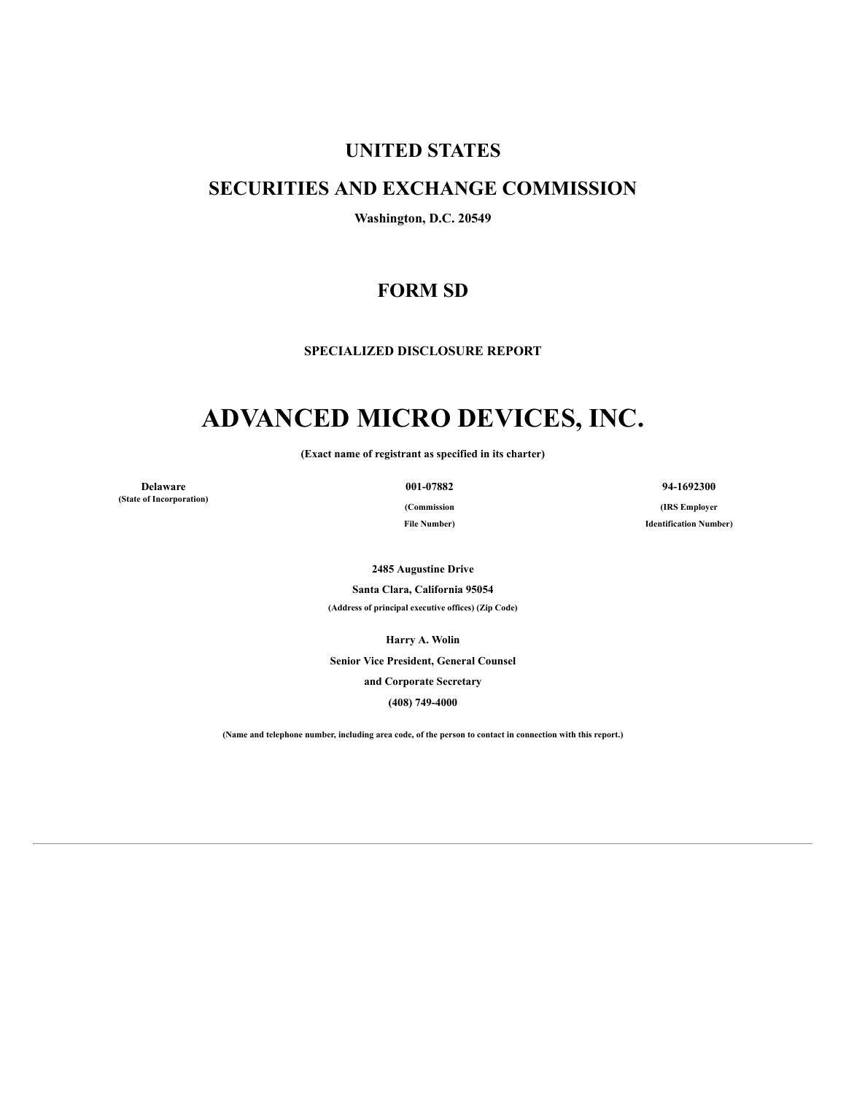## **UNITED STATES**

# **SECURITIES AND EXCHANGE COMMISSION**

**Washington, D.C. 20549**

# **FORM SD**

**SPECIALIZED DISCLOSURE REPORT**

# **ADVANCED MICRO DEVICES, INC.**

**(Exact name of registrant as specified in its charter)**

**Delaware 001-07882 94-1692300 (State of Incorporation)**

**(Commission File Number)**

**(IRS Employer Identification Number)**

**2485 Augustine Drive**

**Santa Clara, California 95054**

**(Address of principal executive offices) (Zip Code)**

**Harry A. Wolin**

**Senior Vice President, General Counsel and Corporate Secretary**

**(408) 749-4000**

(Name and telephone number, including area code, of the person to contact in connection with this report.)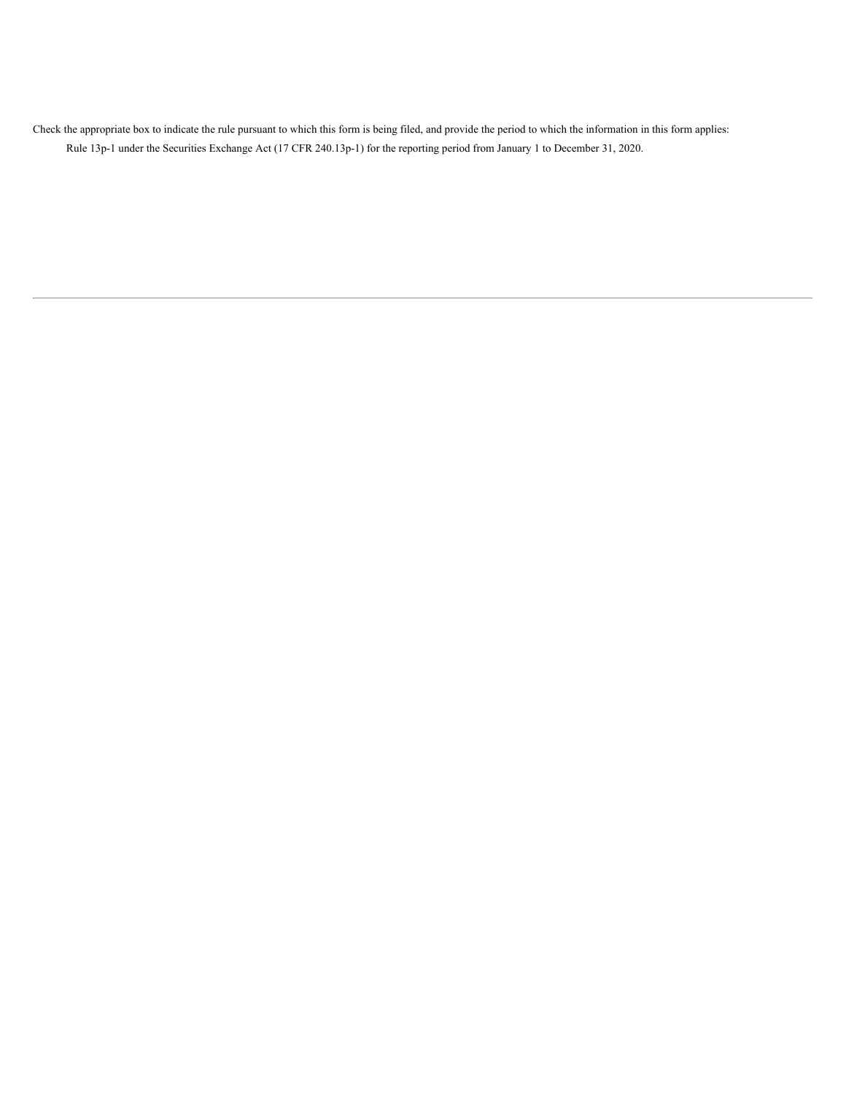Check the appropriate box to indicate the rule pursuant to which this form is being filed, and provide the period to which the information in this form applies: Rule 13p-1 under the Securities Exchange Act (17 CFR 240.13p-1) for the reporting period from January 1 to December 31, 2020.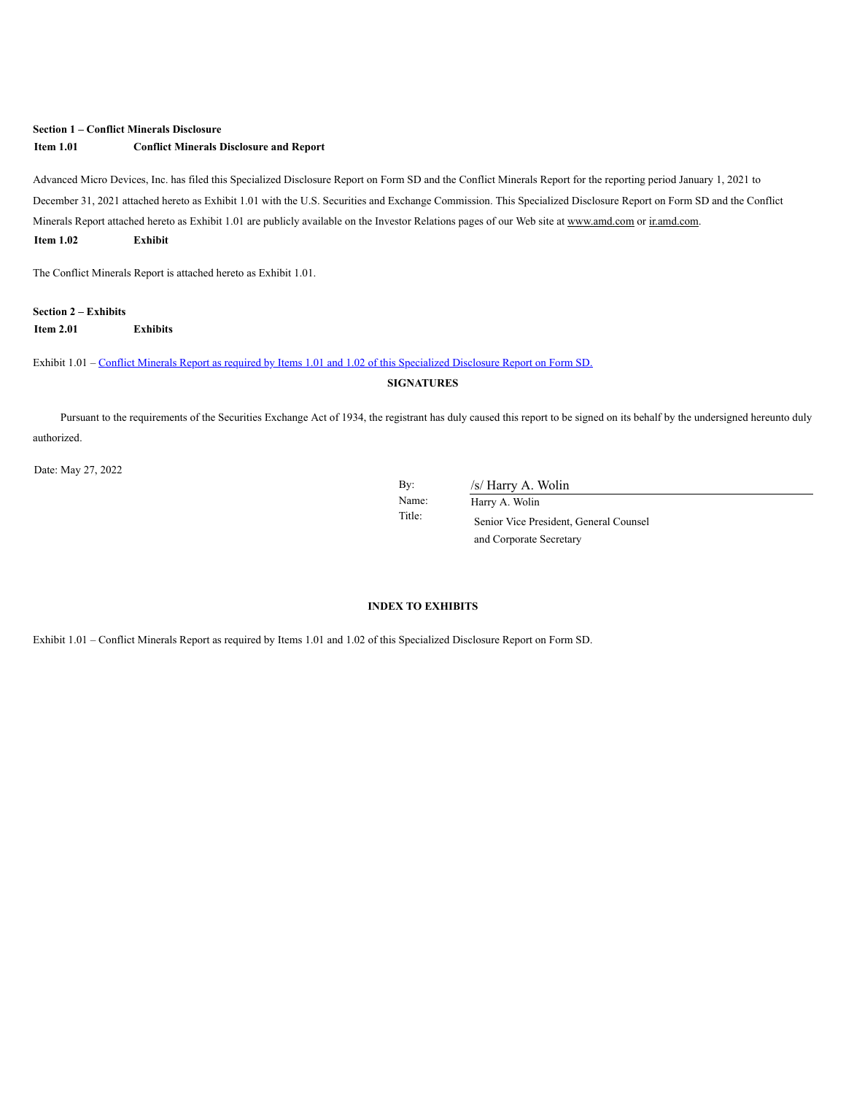#### **Section 1 – Conflict Minerals Disclosure**

#### **Item 1.01 Conflict Minerals Disclosure and Report**

Advanced Micro Devices, Inc. has filed this Specialized Disclosure Report on Form SD and the Conflict Minerals Report for the reporting period January 1, 2021 to December 31, 2021 attached hereto as Exhibit 1.01 with the U.S. Securities and Exchange Commission. This Specialized Disclosure Report on Form SD and the Conflict Minerals Report attached hereto as Exhibit 1.01 are publicly available on the Investor Relations pages of our Web site at www.amd.com or ir.amd.com. **Item 1.02 Exhibit**

The Conflict Minerals Report is attached hereto as Exhibit 1.01.

### **Section 2 – Exhibits Item 2.01 Exhibits**

Exhibit 1.01 – Conflict Minerals Report as required by Items 1.01 and 1.02 of this [Specialized](https://s3.amazonaws.com/content.stockpr.com/amd/sec/0000002488-22-000106/for_pdf/fy2021cmrdraftv2.htm) Disclosure Report on Form SD.

**SIGNATURES**

Pursuant to the requirements of the Securities Exchange Act of 1934, the registrant has duly caused this report to be signed on its behalf by the undersigned hereunto duly authorized.

Date: May 27, 2022

By: /s/ Harry A. Wolin

Name: Harry A. Wolin Title: Senior Vice President, General Counsel and Corporate Secretary

#### **INDEX TO EXHIBITS**

Exhibit 1.01 – Conflict Minerals Report as required by Items 1.01 and 1.02 of this Specialized Disclosure Report on Form SD.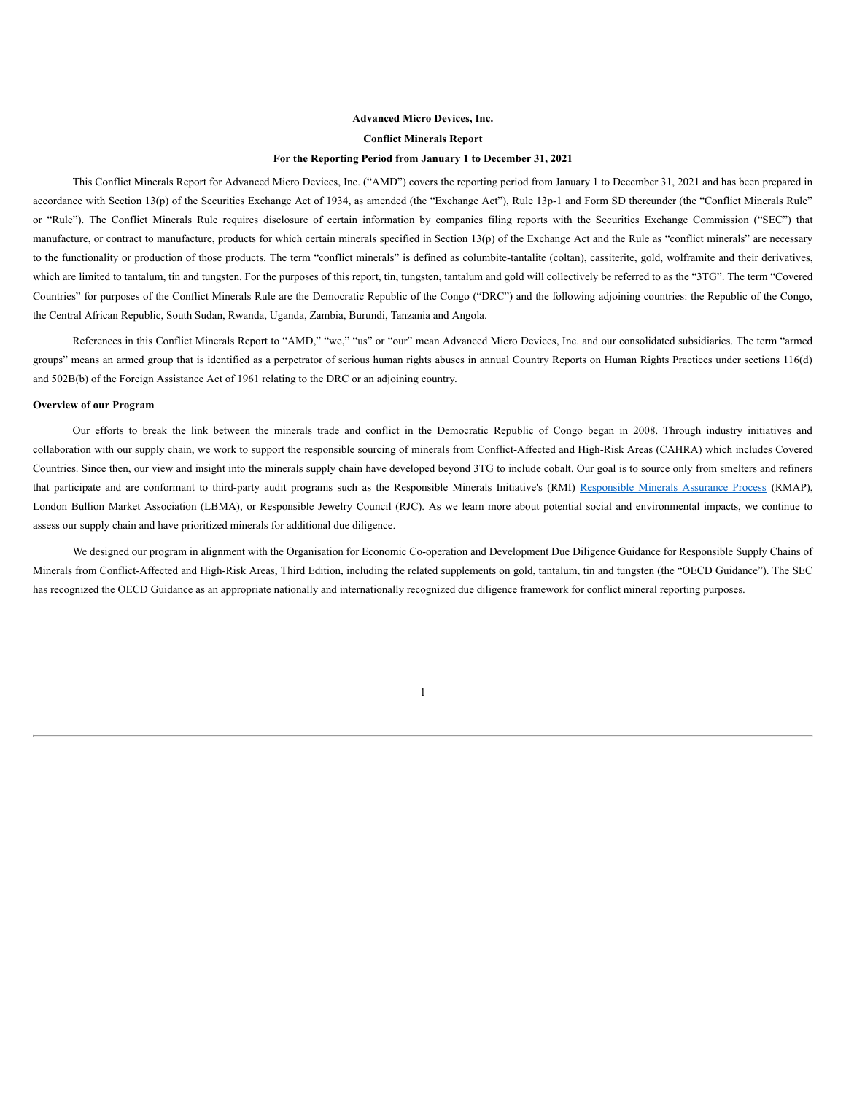#### **Advanced Micro Devices, Inc.**

#### **Conflict Minerals Report**

#### **For the Reporting Period from January 1 to December 31, 2021**

This Conflict Minerals Report for Advanced Micro Devices, Inc. ("AMD") covers the reporting period from January 1 to December 31, 2021 and has been prepared in accordance with Section 13(p) of the Securities Exchange Act of 1934, as amended (the "Exchange Act"), Rule 13p-1 and Form SD thereunder (the "Conflict Minerals Rule" or "Rule"). The Conflict Minerals Rule requires disclosure of certain information by companies filing reports with the Securities Exchange Commission ("SEC") that manufacture, or contract to manufacture, products for which certain minerals specified in Section 13(p) of the Exchange Act and the Rule as "conflict minerals" are necessary to the functionality or production of those products. The term "conflict minerals" is defined as columbite-tantalite (coltan), cassiterite, gold, wolframite and their derivatives, which are limited to tantalum, tin and tungsten. For the purposes of this report, tin, tungsten, tantalum and gold will collectively be referred to as the "3TG". The term "Covered Countries" for purposes of the Conflict Minerals Rule are the Democratic Republic of the Congo ("DRC") and the following adjoining countries: the Republic of the Congo, the Central African Republic, South Sudan, Rwanda, Uganda, Zambia, Burundi, Tanzania and Angola.

References in this Conflict Minerals Report to "AMD," "we," "us" or "our" mean Advanced Micro Devices, Inc. and our consolidated subsidiaries. The term "armed groups" means an armed group that is identified as a perpetrator of serious human rights abuses in annual Country Reports on Human Rights Practices under sections 116(d) and 502B(b) of the Foreign Assistance Act of 1961 relating to the DRC or an adjoining country.

#### **Overview of our Program**

Our efforts to break the link between the minerals trade and conflict in the Democratic Republic of Congo began in 2008. Through industry initiatives and collaboration with our supply chain, we work to support the responsible sourcing of minerals from Conflict-Affected and High-Risk Areas (CAHRA) which includes Covered Countries. Since then, our view and insight into the minerals supply chain have developed beyond 3TG to include cobalt. Our goal is to source only from smelters and refiners that participate and are conformant to third-party audit programs such as the Responsible Minerals Initiative's (RMI) Responsible Minerals Assurance Process (RMAP), London Bullion Market Association (LBMA), or Responsible Jewelry Council (RJC). As we learn more about potential social and environmental impacts, we continue to assess our supply chain and have prioritized minerals for additional due diligence.

We designed our program in alignment with the Organisation for Economic Co-operation and Development Due Diligence Guidance for Responsible Supply Chains of Minerals from Conflict-Affected and High-Risk Areas, Third Edition, including the related supplements on gold, tantalum, tin and tungsten (the "OECD Guidance"). The SEC has recognized the OECD Guidance as an appropriate nationally and internationally recognized due diligence framework for conflict mineral reporting purposes.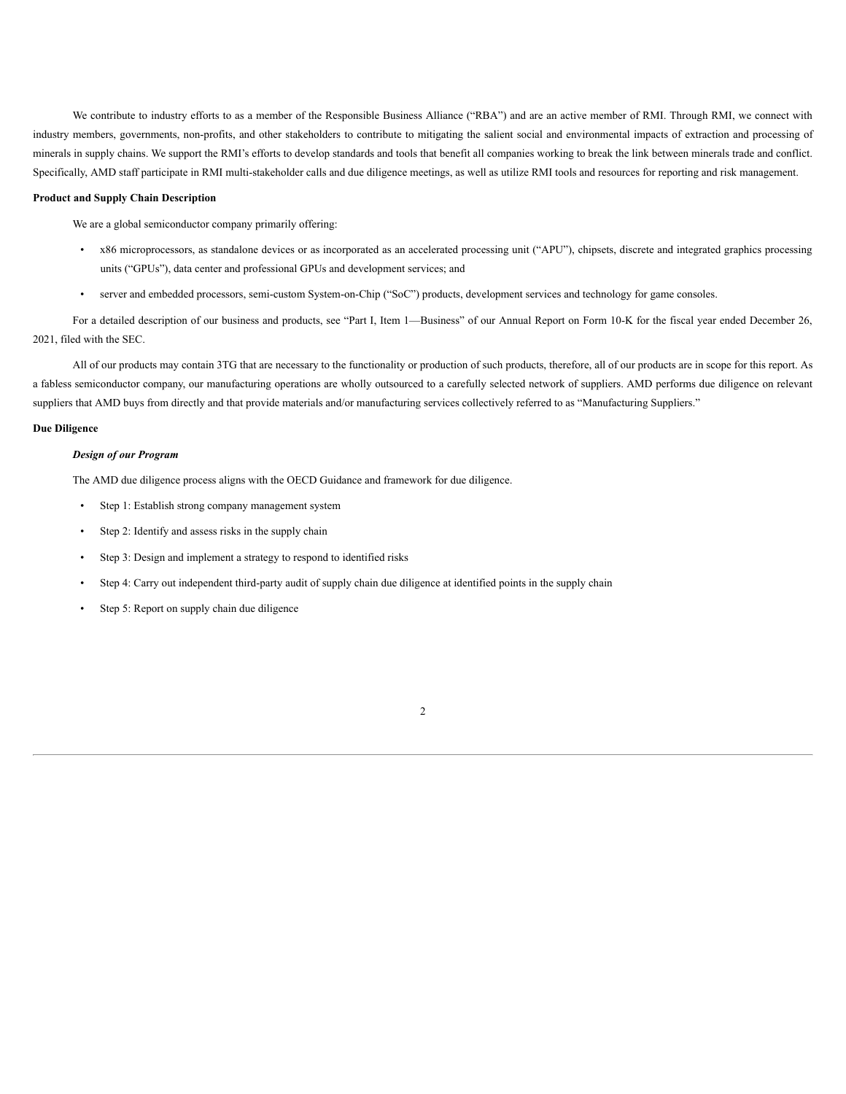We contribute to industry efforts to as a member of the Responsible Business Alliance ("RBA") and are an active member of RMI. Through RMI, we connect with industry members, governments, non-profits, and other stakeholders to contribute to mitigating the salient social and environmental impacts of extraction and processing of minerals in supply chains. We support the RMI's efforts to develop standards and tools that benefit all companies working to break the link between minerals trade and conflict. Specifically, AMD staff participate in RMI multi-stakeholder calls and due diligence meetings, as well as utilize RMI tools and resources for reporting and risk management.

#### **Product and Supply Chain Description**

We are a global semiconductor company primarily offering:

- x86 microprocessors, as standalone devices or as incorporated as an accelerated processing unit ("APU"), chipsets, discrete and integrated graphics processing units ("GPUs"), data center and professional GPUs and development services; and
- server and embedded processors, semi-custom System-on-Chip ("SoC") products, development services and technology for game consoles.

For a detailed description of our business and products, see "Part I, Item 1—Business" of our Annual Report on Form 10-K for the fiscal year ended December 26, 2021, filed with the SEC.

All of our products may contain 3TG that are necessary to the functionality or production of such products, therefore, all of our products are in scope for this report. As a fabless semiconductor company, our manufacturing operations are wholly outsourced to a carefully selected network of suppliers. AMD performs due diligence on relevant suppliers that AMD buys from directly and that provide materials and/or manufacturing services collectively referred to as "Manufacturing Suppliers."

#### **Due Diligence**

#### *Design of our Program*

The AMD due diligence process aligns with the OECD Guidance and framework for due diligence.

- Step 1: Establish strong company management system
- Step 2: Identify and assess risks in the supply chain
- Step 3: Design and implement a strategy to respond to identified risks
- Step 4: Carry out independent third-party audit of supply chain due diligence at identified points in the supply chain
- Step 5: Report on supply chain due diligence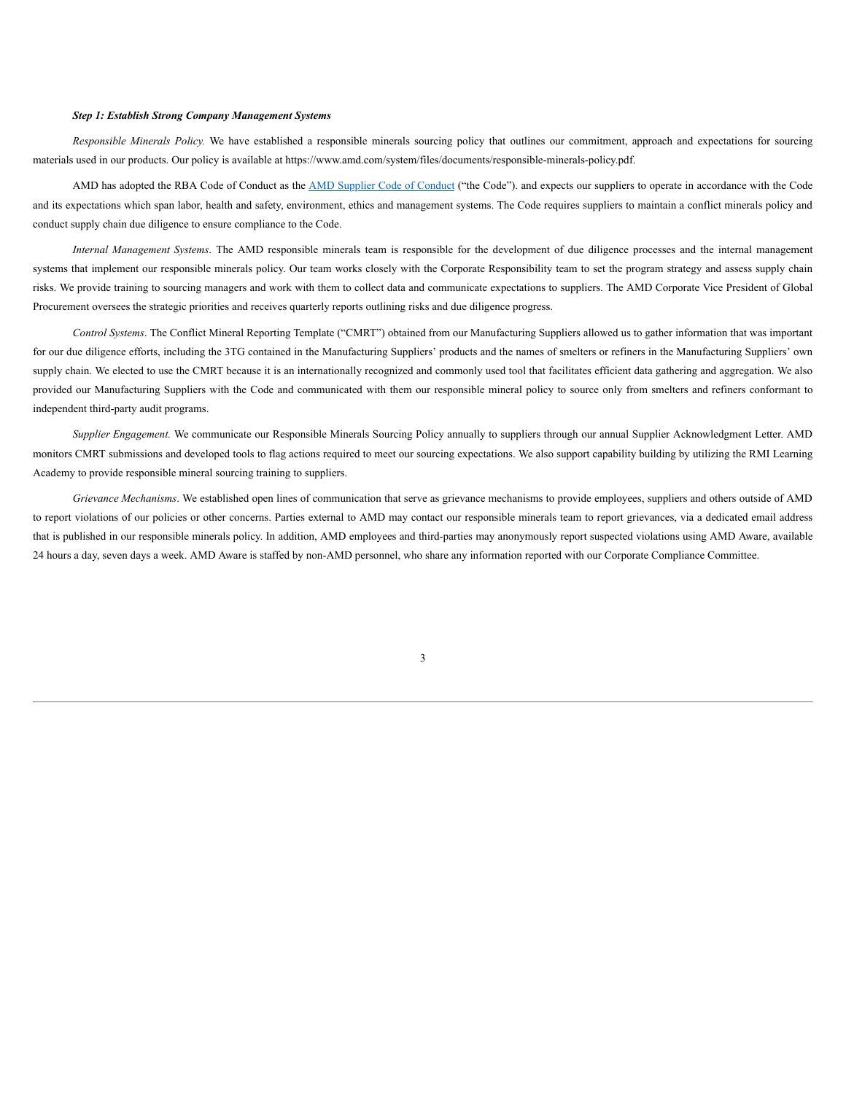#### *Step 1: Establish Strong Company Management Systems*

*Responsible Minerals Policy.* We have established a responsible minerals sourcing policy that outlines our commitment, approach and expectations for sourcing materials used in our products. Our policy is available at https://www.amd.com/system/files/documents/responsible-minerals-policy.pdf.

AMD has adopted the RBA Code of Conduct as the AMD Supplier Code of Conduct ("the Code"). and expects our suppliers to operate in accordance with the Code and its expectations which span labor, health and safety, environment, ethics and management systems. The Code requires suppliers to maintain a conflict minerals policy and conduct supply chain due diligence to ensure compliance to the Code.

*Internal Management Systems*. The AMD responsible minerals team is responsible for the development of due diligence processes and the internal management systems that implement our responsible minerals policy. Our team works closely with the Corporate Responsibility team to set the program strategy and assess supply chain risks. We provide training to sourcing managers and work with them to collect data and communicate expectations to suppliers. The AMD Corporate Vice President of Global Procurement oversees the strategic priorities and receives quarterly reports outlining risks and due diligence progress.

*Control Systems*. The Conflict Mineral Reporting Template ("CMRT") obtained from our Manufacturing Suppliers allowed us to gather information that was important for our due diligence efforts, including the 3TG contained in the Manufacturing Suppliers' products and the names of smelters or refiners in the Manufacturing Suppliers' own supply chain. We elected to use the CMRT because it is an internationally recognized and commonly used tool that facilitates efficient data gathering and aggregation. We also provided our Manufacturing Suppliers with the Code and communicated with them our responsible mineral policy to source only from smelters and refiners conformant to independent third-party audit programs.

*Supplier Engagement.* We communicate our Responsible Minerals Sourcing Policy annually to suppliers through our annual Supplier Acknowledgment Letter. AMD monitors CMRT submissions and developed tools to flag actions required to meet our sourcing expectations. We also support capability building by utilizing the RMI Learning Academy to provide responsible mineral sourcing training to suppliers.

*Grievance Mechanisms*. We established open lines of communication that serve as grievance mechanisms to provide employees, suppliers and others outside of AMD to report violations of our policies or other concerns. Parties external to AMD may contact our responsible minerals team to report grievances, via a dedicated email address that is published in our responsible minerals policy. In addition, AMD employees and third-parties may anonymously report suspected violations using AMD Aware, available 24 hours a day, seven days a week. AMD Aware is staffed by non-AMD personnel, who share any information reported with our Corporate Compliance Committee.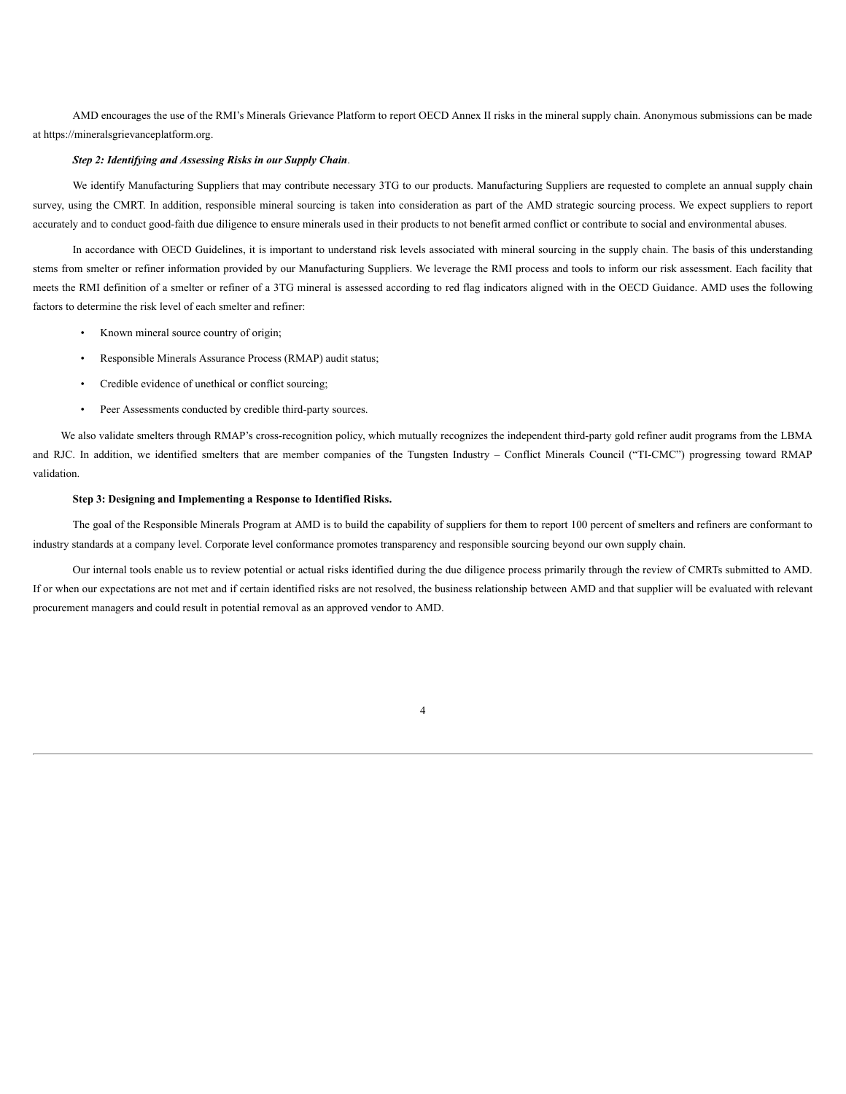AMD encourages the use of the RMI's Minerals Grievance Platform to report OECD Annex II risks in the mineral supply chain. Anonymous submissions can be made at https://mineralsgrievanceplatform.org.

#### *Step 2: Identifying and Assessing Risks in our Supply Chain*.

We identify Manufacturing Suppliers that may contribute necessary 3TG to our products. Manufacturing Suppliers are requested to complete an annual supply chain survey, using the CMRT. In addition, responsible mineral sourcing is taken into consideration as part of the AMD strategic sourcing process. We expect suppliers to report accurately and to conduct good-faith due diligence to ensure minerals used in their products to not benefit armed conflict or contribute to social and environmental abuses.

In accordance with OECD Guidelines, it is important to understand risk levels associated with mineral sourcing in the supply chain. The basis of this understanding stems from smelter or refiner information provided by our Manufacturing Suppliers. We leverage the RMI process and tools to inform our risk assessment. Each facility that meets the RMI definition of a smelter or refiner of a 3TG mineral is assessed according to red flag indicators aligned with in the OECD Guidance. AMD uses the following factors to determine the risk level of each smelter and refiner:

- Known mineral source country of origin;
- Responsible Minerals Assurance Process (RMAP) audit status;
- Credible evidence of unethical or conflict sourcing;
- Peer Assessments conducted by credible third-party sources.

We also validate smelters through RMAP's cross-recognition policy, which mutually recognizes the independent third-party gold refiner audit programs from the LBMA and RJC. In addition, we identified smelters that are member companies of the Tungsten Industry – Conflict Minerals Council ("TI-CMC") progressing toward RMAP validation.

#### **Step 3: Designing and Implementing a Response to Identified Risks.**

The goal of the Responsible Minerals Program at AMD is to build the capability of suppliers for them to report 100 percent of smelters and refiners are conformant to industry standards at a company level. Corporate level conformance promotes transparency and responsible sourcing beyond our own supply chain.

Our internal tools enable us to review potential or actual risks identified during the due diligence process primarily through the review of CMRTs submitted to AMD. If or when our expectations are not met and if certain identified risks are not resolved, the business relationship between AMD and that supplier will be evaluated with relevant procurement managers and could result in potential removal as an approved vendor to AMD.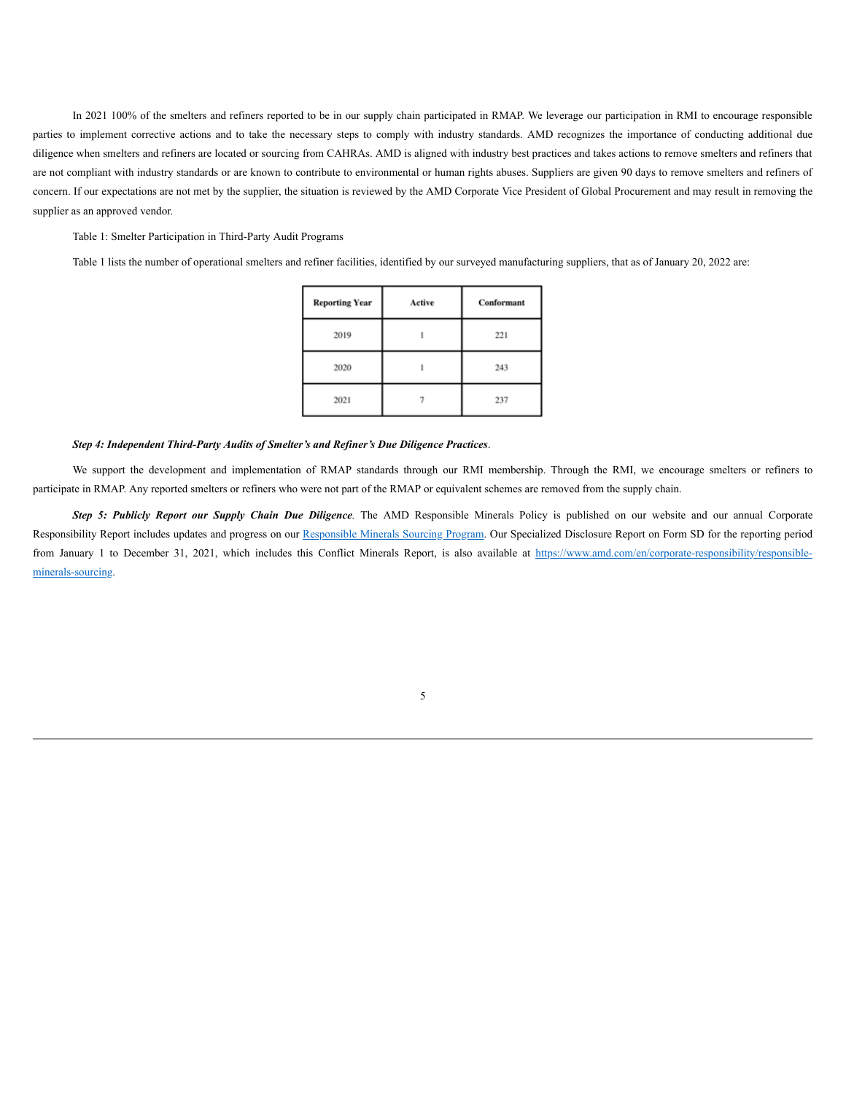In 2021 100% of the smelters and refiners reported to be in our supply chain participated in RMAP. We leverage our participation in RMI to encourage responsible parties to implement corrective actions and to take the necessary steps to comply with industry standards. AMD recognizes the importance of conducting additional due diligence when smelters and refiners are located or sourcing from CAHRAs. AMD is aligned with industry best practices and takes actions to remove smelters and refiners that are not compliant with industry standards or are known to contribute to environmental or human rights abuses. Suppliers are given 90 days to remove smelters and refiners of concern. If our expectations are not met by the supplier, the situation is reviewed by the AMD Corporate Vice President of Global Procurement and may result in removing the supplier as an approved vendor.

Table 1: Smelter Participation in Third-Party Audit Programs

Table 1 lists the number of operational smelters and refiner facilities, identified by our surveyed manufacturing suppliers, that as of January 20, 2022 are:

| <b>Reporting Year</b> | Active | Conformant |
|-----------------------|--------|------------|
| 2019                  |        | 221        |
| 2020                  |        | 243        |
| 2021                  |        | 237        |

#### *Step 4: Independent Third-Party Audits of Smelter's and Refiner's Due Diligence Practices*.

We support the development and implementation of RMAP standards through our RMI membership. Through the RMI, we encourage smelters or refiners to participate in RMAP. Any reported smelters or refiners who were not part of the RMAP or equivalent schemes are removed from the supply chain.

*Step 5: Publicly Report our Supply Chain Due Diligence.* The AMD Responsible Minerals Policy is published on our website and our annual Corporate Responsibility Report includes updates and progress on our Responsible Minerals Sourcing Program. Our Specialized Disclosure Report on Form SD for the reporting period from January 1 to December 31, 2021, which includes this Conflict Minerals Report, is also available at https://www.amd.com/en/corporate-responsibility/responsibleminerals-sourcing.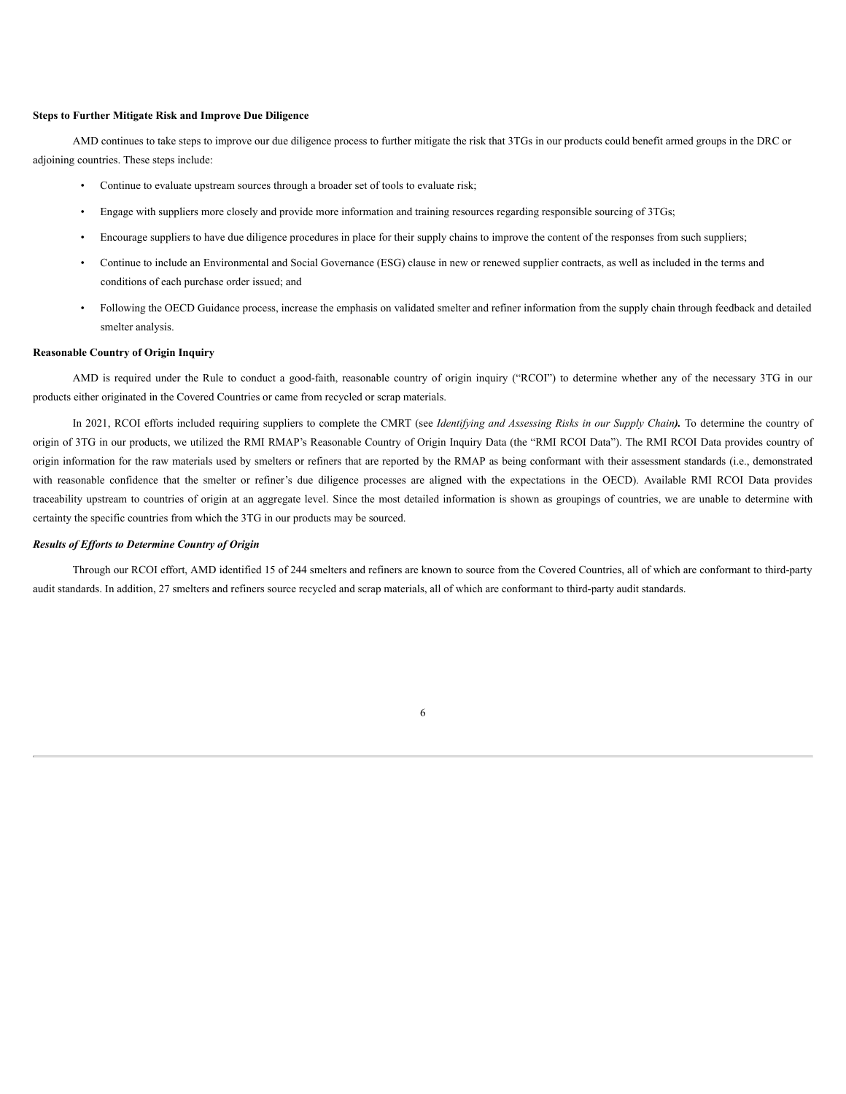#### **Steps to Further Mitigate Risk and Improve Due Diligence**

AMD continues to take steps to improve our due diligence process to further mitigate the risk that 3TGs in our products could benefit armed groups in the DRC or adjoining countries. These steps include:

- Continue to evaluate upstream sources through a broader set of tools to evaluate risk;
- Engage with suppliers more closely and provide more information and training resources regarding responsible sourcing of 3TGs;
- Encourage suppliers to have due diligence procedures in place for their supply chains to improve the content of the responses from such suppliers;
- Continue to include an Environmental and Social Governance (ESG) clause in new or renewed supplier contracts, as well as included in the terms and conditions of each purchase order issued; and
- Following the OECD Guidance process, increase the emphasis on validated smelter and refiner information from the supply chain through feedback and detailed smelter analysis.

#### **Reasonable Country of Origin Inquiry**

AMD is required under the Rule to conduct a good-faith, reasonable country of origin inquiry ("RCOI") to determine whether any of the necessary 3TG in our products either originated in the Covered Countries or came from recycled or scrap materials.

In 2021, RCOI efforts included requiring suppliers to complete the CMRT (see *Identifying and Assessing Risks in our Supply Chain).* To determine the country of origin of 3TG in our products, we utilized the RMI RMAP's Reasonable Country of Origin Inquiry Data (the "RMI RCOI Data"). The RMI RCOI Data provides country of origin information for the raw materials used by smelters or refiners that are reported by the RMAP as being conformant with their assessment standards (i.e., demonstrated with reasonable confidence that the smelter or refiner's due diligence processes are aligned with the expectations in the OECD). Available RMI RCOI Data provides traceability upstream to countries of origin at an aggregate level. Since the most detailed information is shown as groupings of countries, we are unable to determine with certainty the specific countries from which the 3TG in our products may be sourced.

#### *Results of Ef orts to Determine Country of Origin*

Through our RCOI effort, AMD identified 15 of 244 smelters and refiners are known to source from the Covered Countries, all of which are conformant to third-party audit standards. In addition, 27 smelters and refiners source recycled and scrap materials, all of which are conformant to third-party audit standards.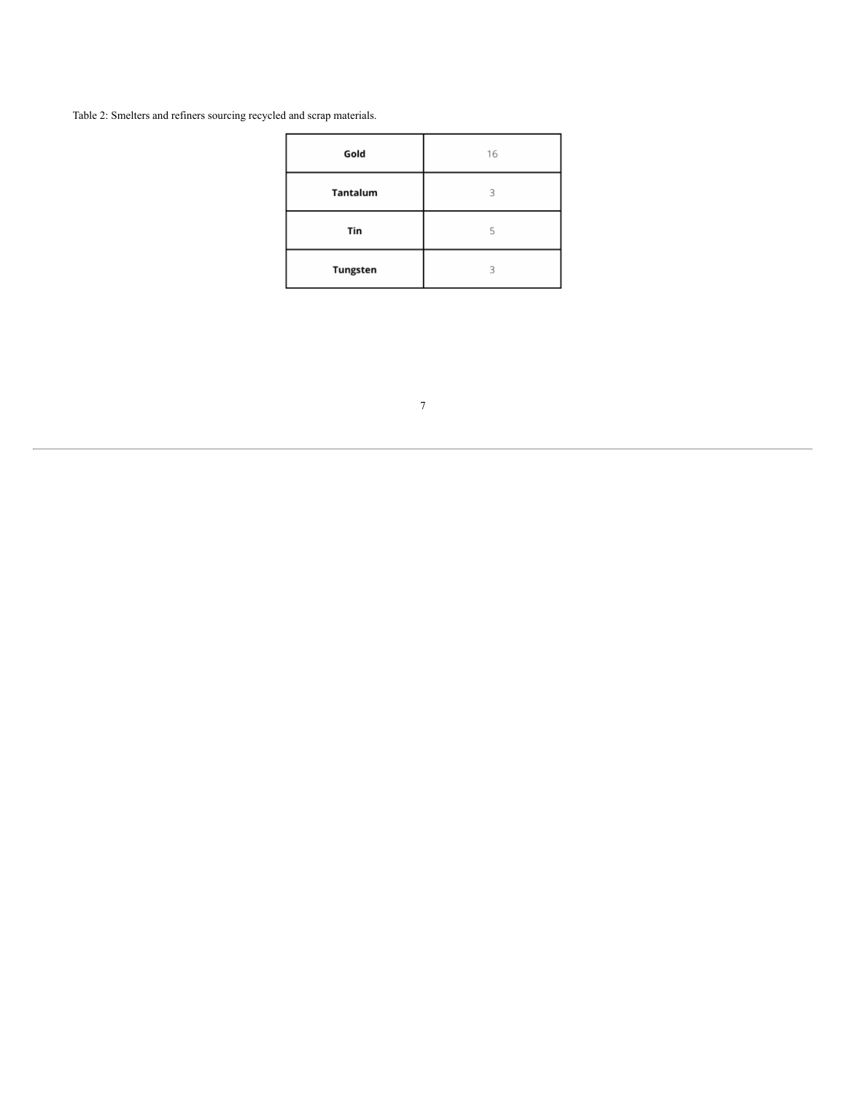Table 2: Smelters and refiners sourcing recycled and scrap materials.

| Gold            | 16 |
|-----------------|----|
| Tantalum        | 3  |
| Tin             | 5  |
| <b>Tungsten</b> | 3  |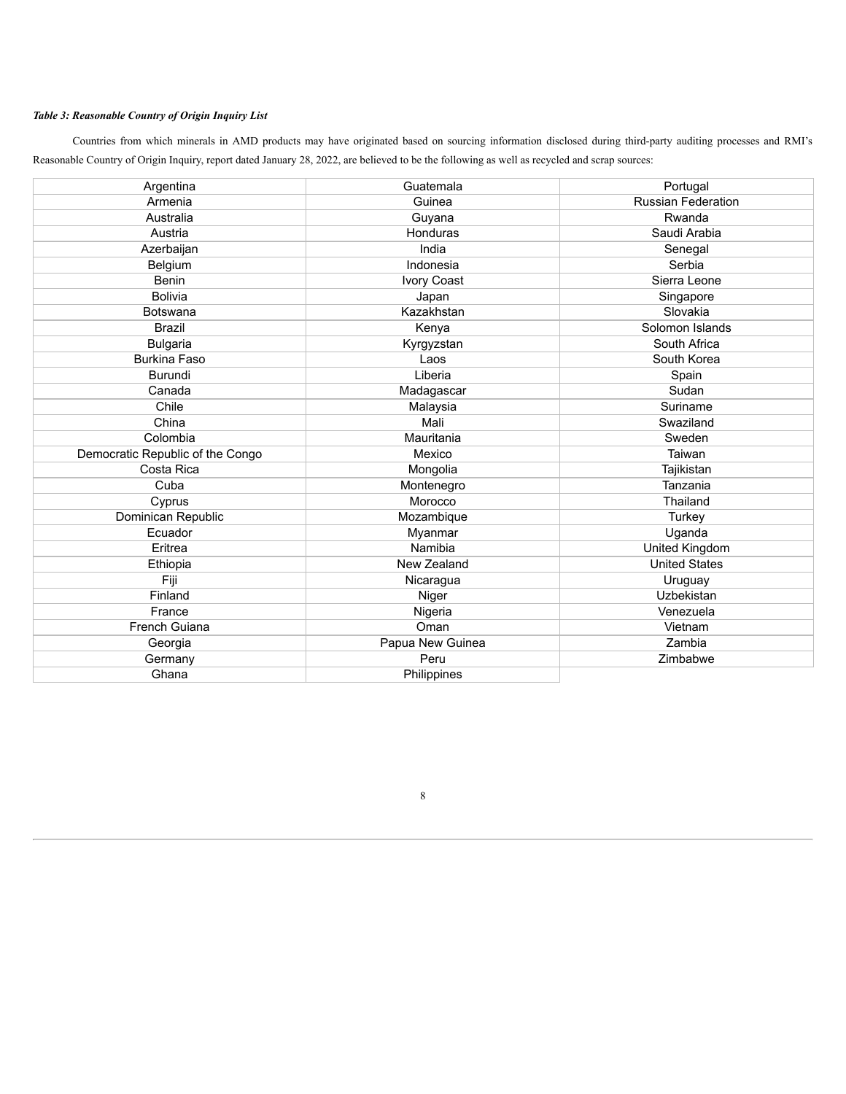## *Table 3: Reasonable Country of Origin Inquiry List*

Countries from which minerals in AMD products may have originated based on sourcing information disclosed during third-party auditing processes and RMI's Reasonable Country of Origin Inquiry, report dated January 28, 2022, are believed to be the following as well as recycled and scrap sources:

| Argentina                        | Guatemala        | Portugal                  |
|----------------------------------|------------------|---------------------------|
| Armenia                          | Guinea           | <b>Russian Federation</b> |
| Australia                        | Guyana           | Rwanda                    |
| Austria                          | Honduras         | Saudi Arabia              |
| Azerbaijan                       | India            | Senegal                   |
| Belgium                          | Indonesia        | Serbia                    |
| Benin                            | Ivory Coast      | Sierra Leone              |
| <b>Bolivia</b>                   | Japan            | Singapore                 |
| Botswana                         | Kazakhstan       | Slovakia                  |
| <b>Brazil</b>                    | Kenya            | Solomon Islands           |
| <b>Bulgaria</b>                  | Kyrgyzstan       | South Africa              |
| <b>Burkina Faso</b>              | Laos             | South Korea               |
| <b>Burundi</b>                   | Liberia          | Spain                     |
| Canada                           | Madagascar       | Sudan                     |
| Chile                            | Malaysia         | Suriname                  |
| China                            | Mali             | Swaziland                 |
| Colombia                         | Mauritania       | Sweden                    |
| Democratic Republic of the Congo | Mexico           | Taiwan                    |
| Costa Rica                       | Mongolia         | Tajikistan                |
| Cuba                             | Montenegro       | Tanzania                  |
| Cyprus                           | Morocco          | Thailand                  |
| Dominican Republic               | Mozambique       | Turkey                    |
| Ecuador                          | Myanmar          | Uganda                    |
| Eritrea                          | Namibia          | United Kingdom            |
| Ethiopia                         | New Zealand      | <b>United States</b>      |
| Fiji                             | Nicaragua        | Uruguay                   |
| Finland                          | Niger            | Uzbekistan                |
| France                           | Nigeria          | Venezuela                 |
| French Guiana                    | Oman             | Vietnam                   |
| Georgia                          | Papua New Guinea | Zambia                    |
| Germany                          | Peru             | Zimbabwe                  |
| Ghana                            | Philippines      |                           |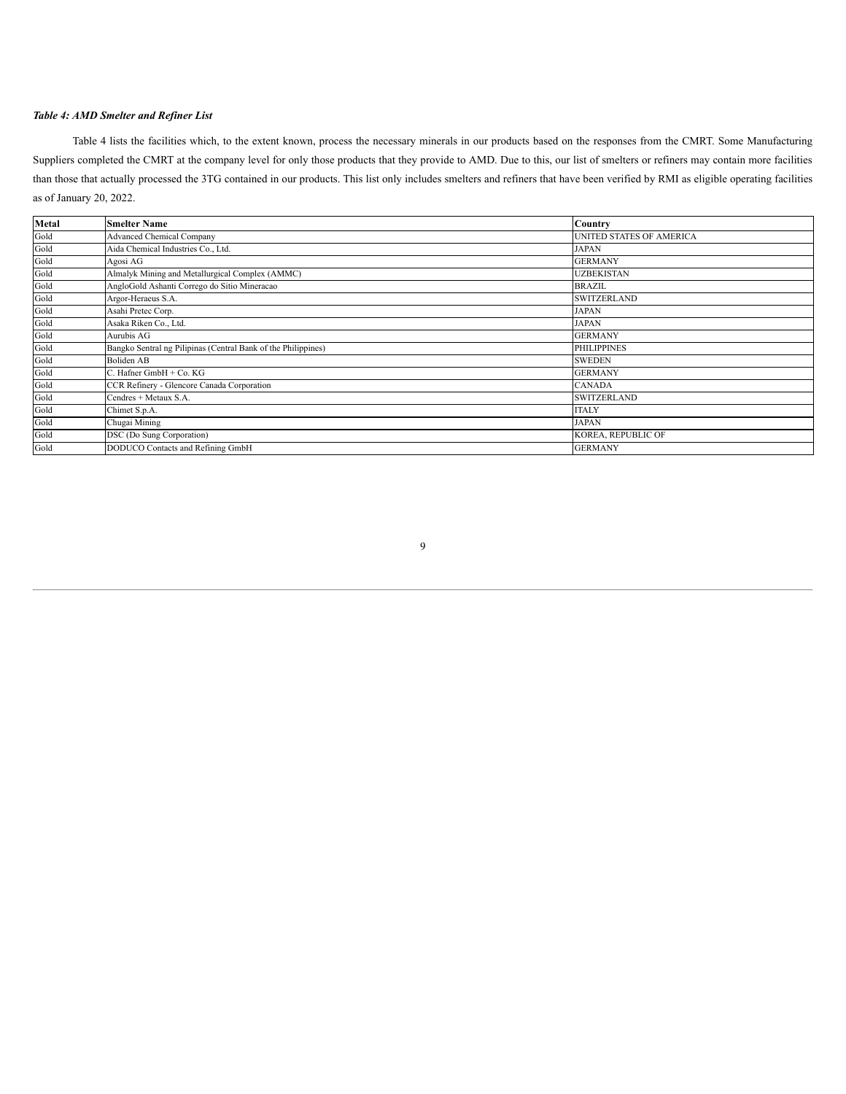#### *Table 4: AMD Smelter and Refiner List*

Table 4 lists the facilities which, to the extent known, process the necessary minerals in our products based on the responses from the CMRT. Some Manufacturing Suppliers completed the CMRT at the company level for only those products that they provide to AMD. Due to this, our list of smelters or refiners may contain more facilities than those that actually processed the 3TG contained in our products. This list only includes smelters and refiners that have been verified by RMI as eligible operating facilities as of January 20, 2022.

| Metal | <b>Smelter Name</b>                                           | <b>Country</b>           |
|-------|---------------------------------------------------------------|--------------------------|
| Gold  | <b>Advanced Chemical Company</b>                              | UNITED STATES OF AMERICA |
| Gold  | Aida Chemical Industries Co., Ltd.                            | <b>JAPAN</b>             |
| Gold  | Agosi AG                                                      | <b>GERMANY</b>           |
| Gold  | Almalyk Mining and Metallurgical Complex (AMMC)               | <b>UZBEKISTAN</b>        |
| Gold  | AngloGold Ashanti Corrego do Sitio Mineracao                  | <b>BRAZIL</b>            |
| Gold  | Argor-Heraeus S.A.                                            | <b>SWITZERLAND</b>       |
| Gold  | Asahi Pretec Corp.                                            | JAPAN                    |
| Gold  | Asaka Riken Co., Ltd.                                         | <b>JAPAN</b>             |
| Gold  | Aurubis AG                                                    | <b>GERMANY</b>           |
| Gold  | Bangko Sentral ng Pilipinas (Central Bank of the Philippines) | <b>PHILIPPINES</b>       |
| Gold  | <b>Boliden AB</b>                                             | <b>SWEDEN</b>            |
| Gold  | C. Hafner GmbH + Co. KG                                       | <b>GERMANY</b>           |
| Gold  | CCR Refinery - Glencore Canada Corporation                    | <b>CANADA</b>            |
| Gold  | Cendres + Metaux S.A.                                         | <b>SWITZERLAND</b>       |
| Gold  | Chimet S.p.A.                                                 | <b>ITALY</b>             |
| Gold  | Chugai Mining                                                 | <b>JAPAN</b>             |
| Gold  | DSC (Do Sung Corporation)                                     | KOREA, REPUBLIC OF       |
| Gold  | DODUCO Contacts and Refining GmbH                             | <b>GERMANY</b>           |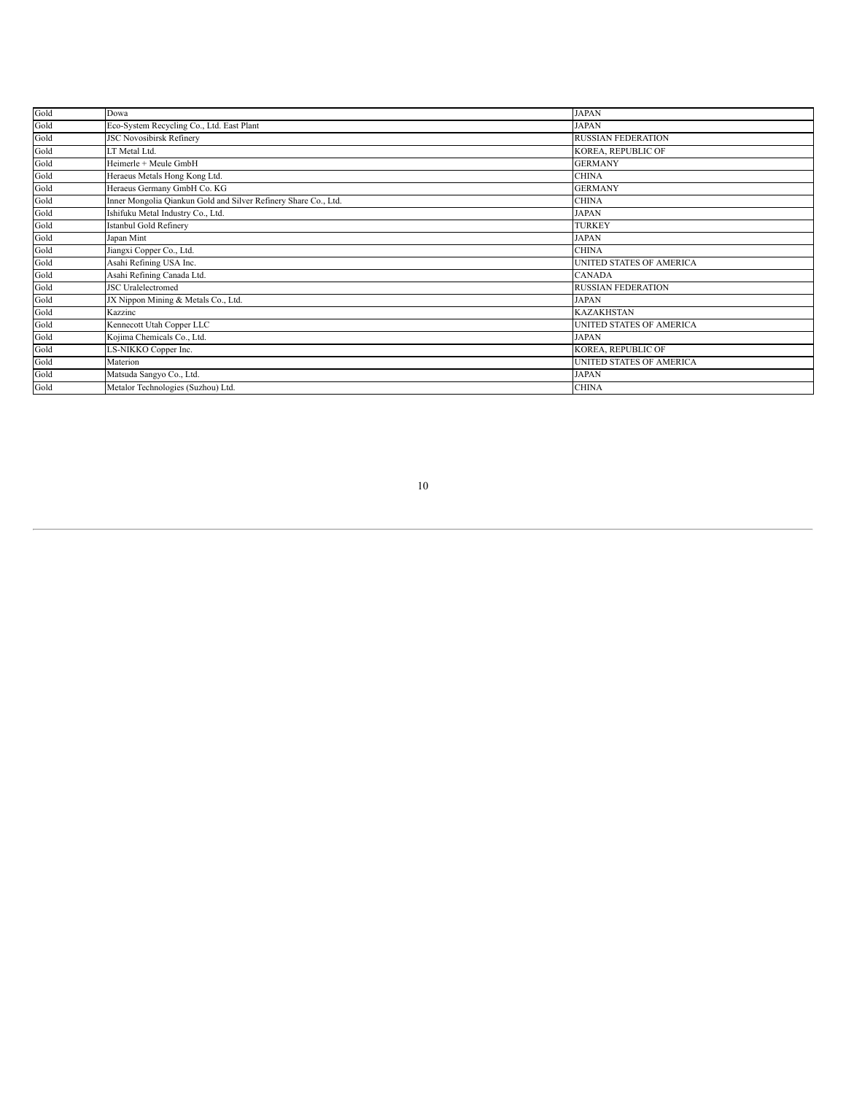| Gold | Dowa                                                            | <b>JAPAN</b>              |
|------|-----------------------------------------------------------------|---------------------------|
| Gold | Eco-System Recycling Co., Ltd. East Plant                       | <b>JAPAN</b>              |
| Gold | <b>JSC Novosibirsk Refinery</b>                                 | <b>RUSSIAN FEDERATION</b> |
| Gold | LT Metal Ltd.                                                   | KOREA, REPUBLIC OF        |
| Gold | Heimerle + Meule GmbH                                           | <b>GERMANY</b>            |
| Gold | Heraeus Metals Hong Kong Ltd.                                   | <b>CHINA</b>              |
| Gold | Heraeus Germany GmbH Co. KG                                     | <b>GERMANY</b>            |
| Gold | Inner Mongolia Qiankun Gold and Silver Refinery Share Co., Ltd. | <b>CHINA</b>              |
| Gold | Ishifuku Metal Industry Co., Ltd.                               | <b>JAPAN</b>              |
| Gold | Istanbul Gold Refinery                                          | <b>TURKEY</b>             |
| Gold | Japan Mint                                                      | <b>JAPAN</b>              |
| Gold | Jiangxi Copper Co., Ltd.                                        | <b>CHINA</b>              |
| Gold | Asahi Refining USA Inc.                                         | UNITED STATES OF AMERICA  |
| Gold | Asahi Refining Canada Ltd.                                      | <b>CANADA</b>             |
| Gold | <b>JSC</b> Uralelectromed                                       | <b>RUSSIAN FEDERATION</b> |
| Gold | JX Nippon Mining & Metals Co., Ltd.                             | <b>JAPAN</b>              |
| Gold | Kazzinc                                                         | <b>KAZAKHSTAN</b>         |
| Gold | Kennecott Utah Copper LLC                                       | UNITED STATES OF AMERICA  |
| Gold | Kojima Chemicals Co., Ltd.                                      | <b>JAPAN</b>              |
| Gold | LS-NIKKO Copper Inc.                                            | KOREA, REPUBLIC OF        |
| Gold | Materion                                                        | UNITED STATES OF AMERICA  |
| Gold | Matsuda Sangyo Co., Ltd.                                        | <b>JAPAN</b>              |
| Gold | Metalor Technologies (Suzhou) Ltd.                              | <b>CHINA</b>              |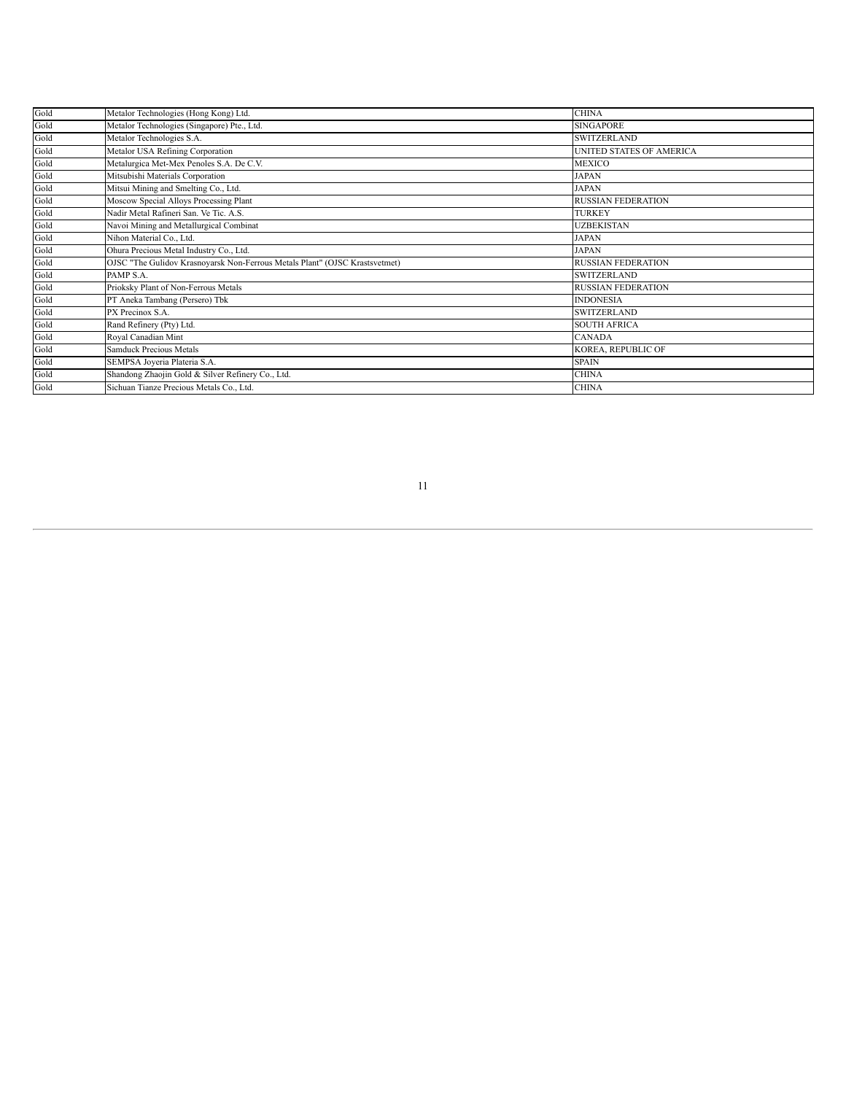| Gold | Metalor Technologies (Hong Kong) Ltd.                                       | <b>CHINA</b>                    |
|------|-----------------------------------------------------------------------------|---------------------------------|
| Gold | Metalor Technologies (Singapore) Pte., Ltd.                                 | <b>SINGAPORE</b>                |
| Gold | Metalor Technologies S.A.                                                   | <b>SWITZERLAND</b>              |
| Gold | Metalor USA Refining Corporation                                            | <b>UNITED STATES OF AMERICA</b> |
| Gold | Metalurgica Met-Mex Penoles S.A. De C.V.                                    | <b>MEXICO</b>                   |
| Gold | Mitsubishi Materials Corporation                                            | <b>JAPAN</b>                    |
| Gold | Mitsui Mining and Smelting Co., Ltd.                                        | <b>JAPAN</b>                    |
| Gold | Moscow Special Alloys Processing Plant                                      | <b>RUSSIAN FEDERATION</b>       |
| Gold | Nadir Metal Rafineri San. Ve Tic. A.S.                                      | <b>TURKEY</b>                   |
| Gold | Navoi Mining and Metallurgical Combinat                                     | <b>UZBEKISTAN</b>               |
| Gold | Nihon Material Co., Ltd.                                                    | <b>JAPAN</b>                    |
| Gold | Ohura Precious Metal Industry Co., Ltd.                                     | <b>JAPAN</b>                    |
| Gold | OJSC "The Gulidov Krasnoyarsk Non-Ferrous Metals Plant" (OJSC Krastsvetmet) | <b>RUSSIAN FEDERATION</b>       |
| Gold | PAMP S.A.                                                                   | <b>SWITZERLAND</b>              |
| Gold | Prioksky Plant of Non-Ferrous Metals                                        | <b>RUSSIAN FEDERATION</b>       |
| Gold | PT Aneka Tambang (Persero) Tbk                                              | <b>INDONESIA</b>                |
| Gold | PX Precinox S.A.                                                            | <b>SWITZERLAND</b>              |
| Gold | Rand Refinery (Pty) Ltd.                                                    | <b>SOUTH AFRICA</b>             |
| Gold | Royal Canadian Mint                                                         | <b>CANADA</b>                   |
| Gold | <b>Samduck Precious Metals</b>                                              | KOREA, REPUBLIC OF              |
| Gold | SEMPSA Joyeria Plateria S.A.                                                | <b>SPAIN</b>                    |
| Gold | Shandong Zhaojin Gold & Silver Refinery Co., Ltd.                           | <b>CHINA</b>                    |
| Gold | Sichuan Tianze Precious Metals Co., Ltd.                                    | <b>CHINA</b>                    |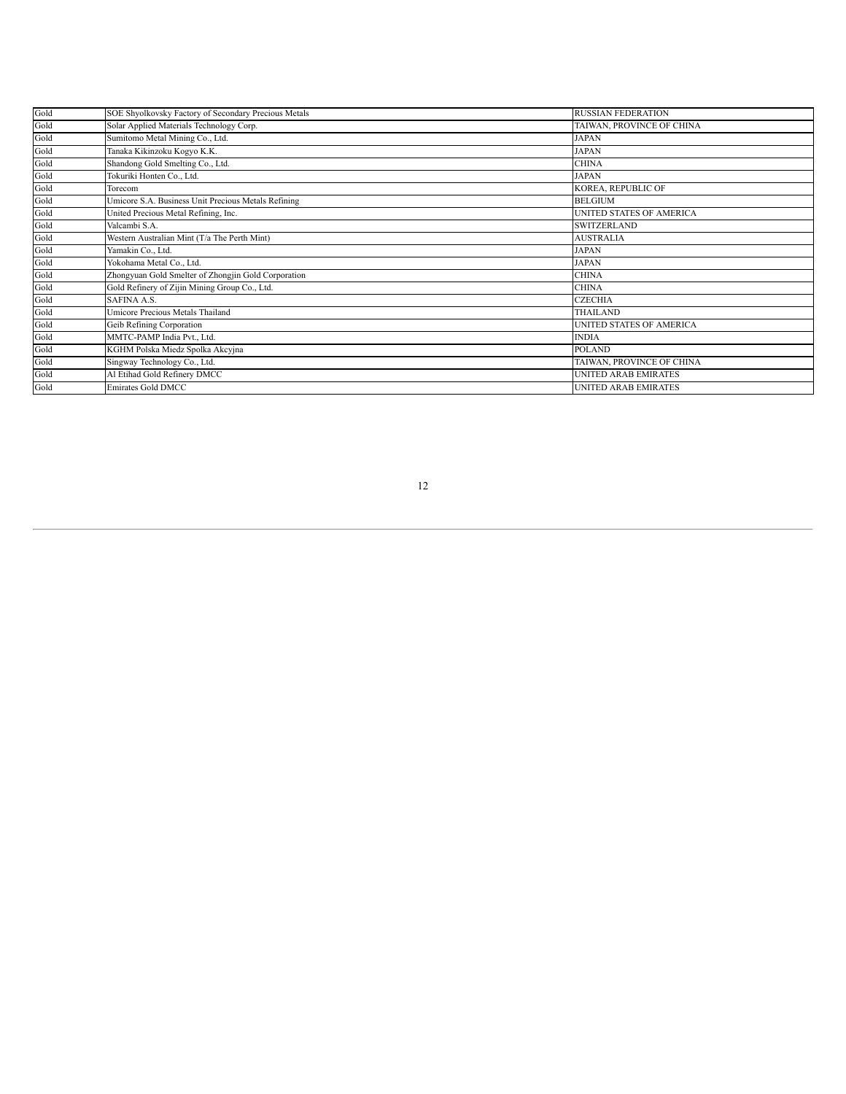| Gold | SOE Shyolkovsky Factory of Secondary Precious Metals | <b>RUSSIAN FEDERATION</b>       |
|------|------------------------------------------------------|---------------------------------|
| Gold | Solar Applied Materials Technology Corp.             | TAIWAN, PROVINCE OF CHINA       |
| Gold | Sumitomo Metal Mining Co., Ltd.                      | JAPAN                           |
| Gold | Tanaka Kikinzoku Kogyo K.K.                          | <b>JAPAN</b>                    |
| Gold | Shandong Gold Smelting Co., Ltd.                     | <b>CHINA</b>                    |
| Gold | Tokuriki Honten Co., Ltd.                            | <b>JAPAN</b>                    |
| Gold | Torecom                                              | KOREA, REPUBLIC OF              |
| Gold | Umicore S.A. Business Unit Precious Metals Refining  | <b>BELGIUM</b>                  |
| Gold | United Precious Metal Refining, Inc.                 | <b>UNITED STATES OF AMERICA</b> |
| Gold | Valcambi S.A.                                        | <b>SWITZERLAND</b>              |
| Gold | Western Australian Mint (T/a The Perth Mint)         | <b>AUSTRALIA</b>                |
| Gold | Yamakin Co., Ltd.                                    | <b>JAPAN</b>                    |
| Gold | Yokohama Metal Co., Ltd.                             | <b>JAPAN</b>                    |
| Gold | Zhongyuan Gold Smelter of Zhongjin Gold Corporation  | <b>CHINA</b>                    |
| Gold | Gold Refinery of Zijin Mining Group Co., Ltd.        | <b>CHINA</b>                    |
| Gold | SAFINA A.S.                                          | <b>CZECHIA</b>                  |
| Gold | Umicore Precious Metals Thailand                     | <b>THAILAND</b>                 |
| Gold | Geib Refining Corporation                            | UNITED STATES OF AMERICA        |
| Gold | MMTC-PAMP India Pvt., Ltd.                           | <b>INDIA</b>                    |
| Gold | KGHM Polska Miedz Spolka Akcyjna                     | <b>POLAND</b>                   |
| Gold | Singway Technology Co., Ltd.                         | TAIWAN, PROVINCE OF CHINA       |
| Gold | Al Etihad Gold Refinery DMCC                         | <b>UNITED ARAB EMIRATES</b>     |
| Gold | <b>Emirates Gold DMCC</b>                            | <b>UNITED ARAB EMIRATES</b>     |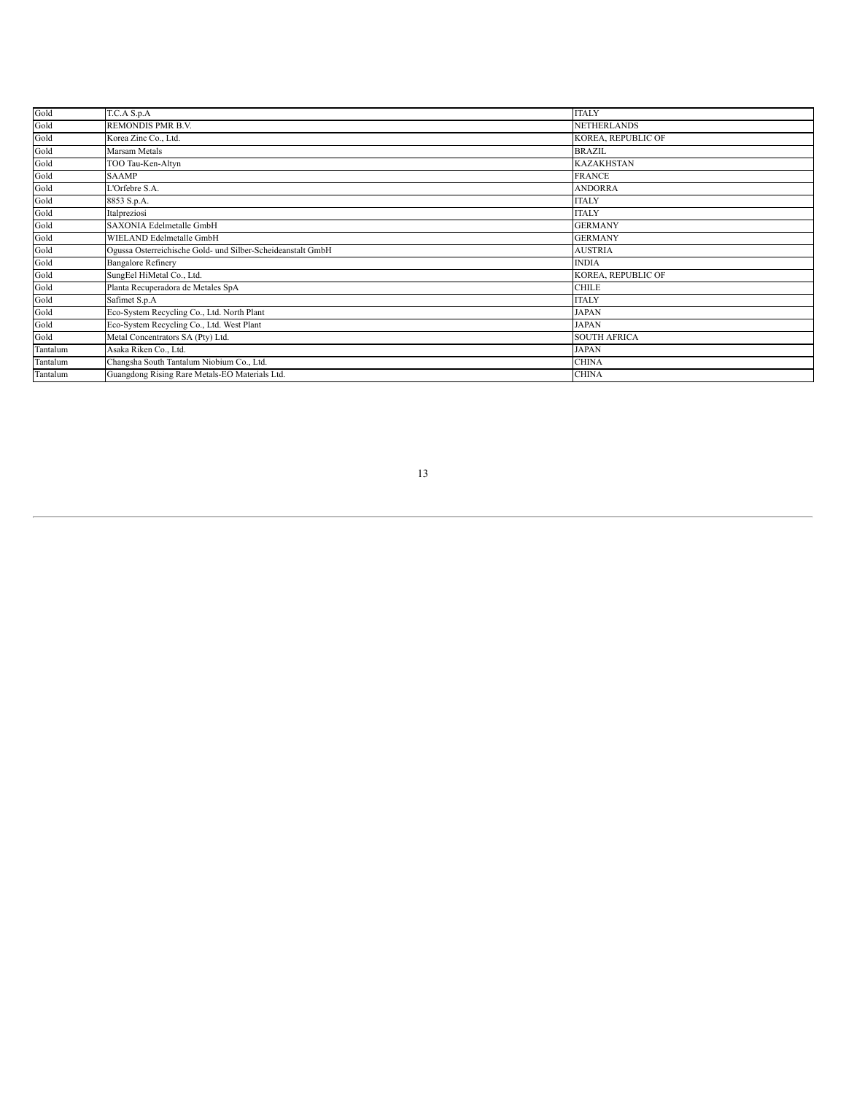| Gold     | T.C.A S.p.A                                                 | <b>ITALY</b>        |
|----------|-------------------------------------------------------------|---------------------|
| Gold     | <b>REMONDIS PMR B.V.</b>                                    | <b>NETHERLANDS</b>  |
| Gold     | Korea Zinc Co., Ltd.                                        | KOREA, REPUBLIC OF  |
| Gold     | Marsam Metals                                               | <b>BRAZIL</b>       |
| Gold     | TOO Tau-Ken-Altyn                                           | <b>KAZAKHSTAN</b>   |
| Gold     | <b>SAAMP</b>                                                | <b>FRANCE</b>       |
| Gold     | L'Orfebre S.A.                                              | <b>ANDORRA</b>      |
| Gold     | 8853 S.p.A.                                                 | <b>ITALY</b>        |
| Gold     | Italpreziosi                                                | <b>ITALY</b>        |
| Gold     | SAXONIA Edelmetalle GmbH                                    | <b>GERMANY</b>      |
| Gold     | WIELAND Edelmetalle GmbH                                    | <b>GERMANY</b>      |
| Gold     | Ogussa Osterreichische Gold- und Silber-Scheideanstalt GmbH | <b>AUSTRIA</b>      |
| Gold     | <b>Bangalore Refinery</b>                                   | <b>INDIA</b>        |
| Gold     | SungEel HiMetal Co., Ltd.                                   | KOREA, REPUBLIC OF  |
| Gold     | Planta Recuperadora de Metales SpA                          | <b>CHILE</b>        |
| Gold     | Safimet S.p.A                                               | <b>ITALY</b>        |
| Gold     | Eco-System Recycling Co., Ltd. North Plant                  | <b>JAPAN</b>        |
| Gold     | Eco-System Recycling Co., Ltd. West Plant                   | <b>JAPAN</b>        |
| Gold     | Metal Concentrators SA (Pty) Ltd.                           | <b>SOUTH AFRICA</b> |
| Tantalum | Asaka Riken Co., Ltd.                                       | <b>JAPAN</b>        |
| Tantalum | Changsha South Tantalum Niobium Co., Ltd.                   | <b>CHINA</b>        |
| Tantalum | Guangdong Rising Rare Metals-EO Materials Ltd.              | <b>CHINA</b>        |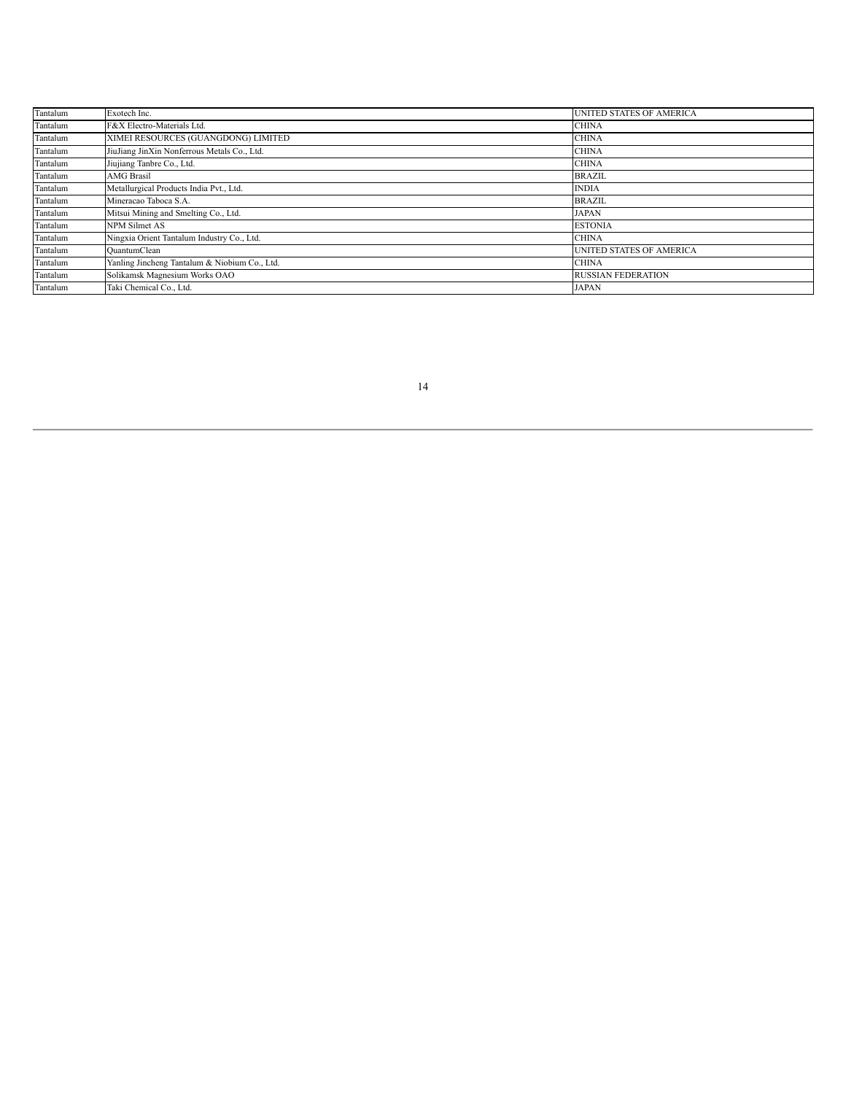| Tantalum | Exotech Inc.                                  | <b>UNITED STATES OF AMERICA</b> |
|----------|-----------------------------------------------|---------------------------------|
| Tantalum | F&X Electro-Materials Ltd.                    | <b>CHINA</b>                    |
| Tantalum | XIMEI RESOURCES (GUANGDONG) LIMITED           | <b>CHINA</b>                    |
| Tantalum | JiuJiang JinXin Nonferrous Metals Co., Ltd.   | <b>CHINA</b>                    |
| Tantalum | Jiujiang Tanbre Co., Ltd.                     | <b>CHINA</b>                    |
| Tantalum | <b>AMG Brasil</b>                             | <b>BRAZIL</b>                   |
| Tantalum | Metallurgical Products India Pvt., Ltd.       | <b>INDIA</b>                    |
| Tantalum | Mineracao Taboca S.A.                         | <b>BRAZIL</b>                   |
| Tantalum | Mitsui Mining and Smelting Co., Ltd.          | <b>JAPAN</b>                    |
| Tantalum | <b>NPM Silmet AS</b>                          | <b>ESTONIA</b>                  |
| Tantalum | Ningxia Orient Tantalum Industry Co., Ltd.    | <b>CHINA</b>                    |
| Tantalum | QuantumClean                                  | <b>UNITED STATES OF AMERICA</b> |
| Tantalum | Yanling Jincheng Tantalum & Niobium Co., Ltd. | <b>CHINA</b>                    |
| Tantalum | Solikamsk Magnesium Works OAO                 | <b>RUSSIAN FEDERATION</b>       |
| Tantalum | Taki Chemical Co., Ltd.                       | <b>JAPAN</b>                    |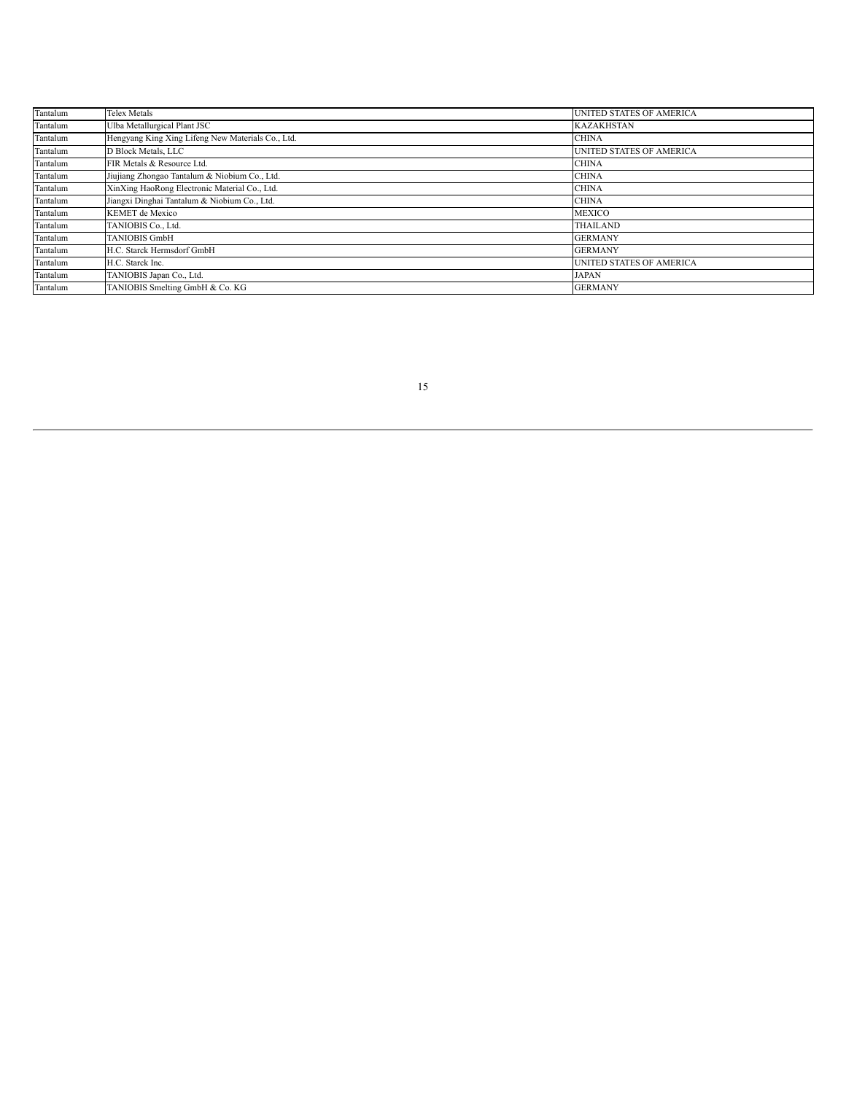| Tantalum | Telex Metals                                      | UNITED STATES OF AMERICA        |
|----------|---------------------------------------------------|---------------------------------|
| Tantalum | Ulba Metallurgical Plant JSC                      | <b>KAZAKHSTAN</b>               |
| Tantalum | Hengyang King Xing Lifeng New Materials Co., Ltd. | <b>CHINA</b>                    |
| Tantalum | D Block Metals, LLC                               | UNITED STATES OF AMERICA        |
| Tantalum | FIR Metals & Resource Ltd.                        | <b>CHINA</b>                    |
| Tantalum | Jiujiang Zhongao Tantalum & Niobium Co., Ltd.     | <b>CHINA</b>                    |
| Tantalum | XinXing HaoRong Electronic Material Co., Ltd.     | <b>CHINA</b>                    |
| Tantalum | Jiangxi Dinghai Tantalum & Niobium Co., Ltd.      | <b>CHINA</b>                    |
| Tantalum | <b>KEMET</b> de Mexico                            | <b>MEXICO</b>                   |
| Tantalum | TANIOBIS Co., Ltd.                                | <b>THAILAND</b>                 |
| Tantalum | TANIOBIS GmbH                                     | <b>GERMANY</b>                  |
| Tantalum | H.C. Starck Hermsdorf GmbH                        | <b>GERMANY</b>                  |
| Tantalum | H.C. Starck Inc.                                  | <b>UNITED STATES OF AMERICA</b> |
| Tantalum | TANIOBIS Japan Co., Ltd.                          | <b>JAPAN</b>                    |
| Tantalum | TANIOBIS Smelting GmbH & Co. KG                   | <b>GERMANY</b>                  |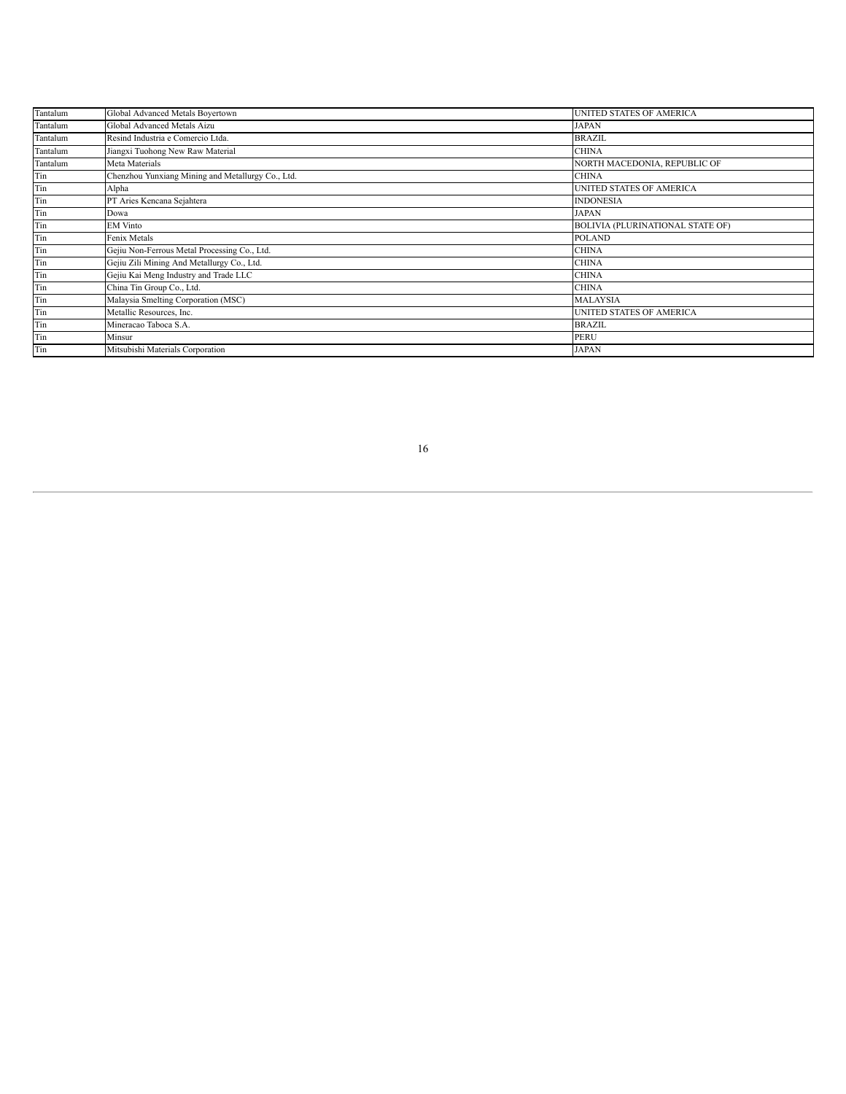| Tantalum | Global Advanced Metals Boyertown                  | UNITED STATES OF AMERICA                |
|----------|---------------------------------------------------|-----------------------------------------|
| Tantalum | Global Advanced Metals Aizu                       | JAPAN                                   |
| Tantalum | Resind Industria e Comercio Ltda.                 | <b>BRAZIL</b>                           |
| Tantalum | Jiangxi Tuohong New Raw Material                  | <b>CHINA</b>                            |
| Tantalum | Meta Materials                                    | NORTH MACEDONIA, REPUBLIC OF            |
| Tin      | Chenzhou Yunxiang Mining and Metallurgy Co., Ltd. | <b>CHINA</b>                            |
| Tin      | Alpha                                             | UNITED STATES OF AMERICA                |
| Tin      | PT Aries Kencana Sejahtera                        | <b>INDONESIA</b>                        |
| Tin      | Dowa                                              | JAPAN                                   |
| Tin      | <b>EM Vinto</b>                                   | <b>BOLIVIA (PLURINATIONAL STATE OF)</b> |
| Tin      | Fenix Metals                                      | <b>POLAND</b>                           |
| Tin      | Gejiu Non-Ferrous Metal Processing Co., Ltd.      | <b>CHINA</b>                            |
| Tin      | Gejiu Zili Mining And Metallurgy Co., Ltd.        | <b>CHINA</b>                            |
| Tin      | Gejiu Kai Meng Industry and Trade LLC             | <b>CHINA</b>                            |
| Tin      | China Tin Group Co., Ltd.                         | <b>CHINA</b>                            |
| Tin      | Malaysia Smelting Corporation (MSC)               | <b>MALAYSIA</b>                         |
| Tin      | Metallic Resources, Inc.                          | UNITED STATES OF AMERICA                |
| Tin      | Mineracao Taboca S.A.                             | <b>BRAZIL</b>                           |
| Tin      | Minsur                                            | <b>PERU</b>                             |
| Tin      | Mitsubishi Materials Corporation                  | <b>JAPAN</b>                            |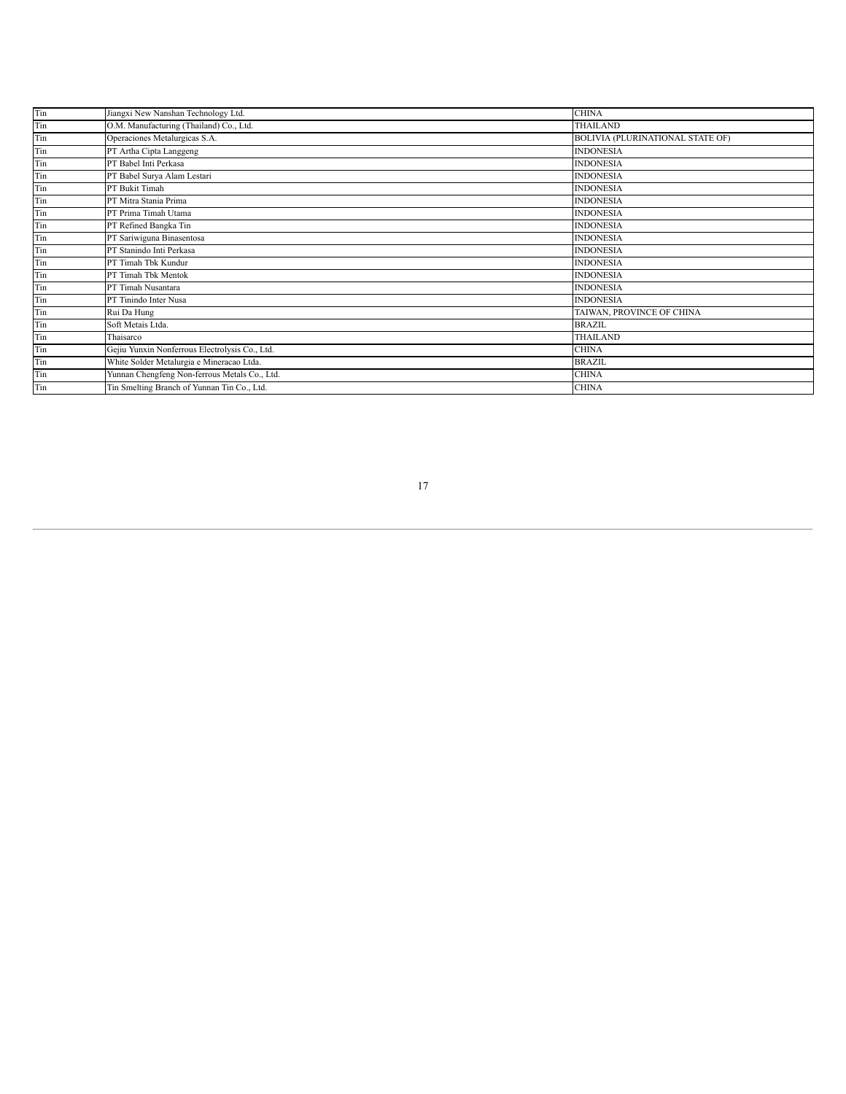| Jiangxi New Nanshan Technology Ltd.            | <b>CHINA</b>                            |
|------------------------------------------------|-----------------------------------------|
| O.M. Manufacturing (Thailand) Co., Ltd.        | <b>THAILAND</b>                         |
| Operaciones Metalurgicas S.A.                  | <b>BOLIVIA (PLURINATIONAL STATE OF)</b> |
| PT Artha Cipta Langgeng                        | <b>INDONESIA</b>                        |
| PT Babel Inti Perkasa                          | <b>INDONESIA</b>                        |
| PT Babel Surya Alam Lestari                    | <b>INDONESIA</b>                        |
| PT Bukit Timah                                 | <b>INDONESIA</b>                        |
| PT Mitra Stania Prima                          | <b>INDONESIA</b>                        |
| PT Prima Timah Utama                           | <b>INDONESIA</b>                        |
| PT Refined Bangka Tin                          | <b>INDONESIA</b>                        |
| PT Sariwiguna Binasentosa                      | <b>INDONESIA</b>                        |
| PT Stanindo Inti Perkasa                       | <b>INDONESIA</b>                        |
| PT Timah Tbk Kundur                            | <b>INDONESIA</b>                        |
| PT Timah Tbk Mentok                            | <b>INDONESIA</b>                        |
| PT Timah Nusantara                             | <b>INDONESIA</b>                        |
| PT Tinindo Inter Nusa                          | <b>INDONESIA</b>                        |
| Rui Da Hung                                    | TAIWAN, PROVINCE OF CHINA               |
| Soft Metais Ltda.                              | <b>BRAZIL</b>                           |
| Thaisarco                                      | <b>THAILAND</b>                         |
| Gejiu Yunxin Nonferrous Electrolysis Co., Ltd. | <b>CHINA</b>                            |
| White Solder Metalurgia e Mineracao Ltda.      | <b>BRAZIL</b>                           |
| Yunnan Chengfeng Non-ferrous Metals Co., Ltd.  | <b>CHINA</b>                            |
| Tin Smelting Branch of Yunnan Tin Co., Ltd.    | <b>CHINA</b>                            |
|                                                |                                         |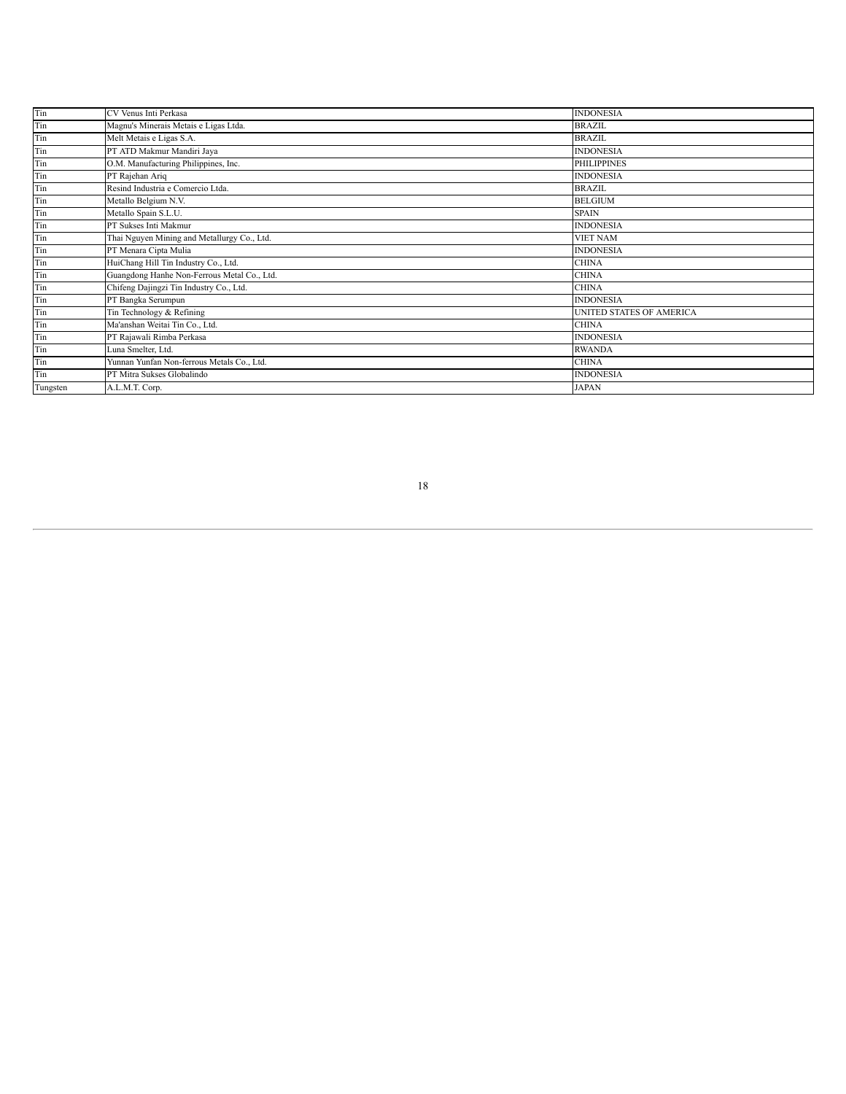| Tin      | CV Venus Inti Perkasa                       | <b>INDONESIA</b>                |
|----------|---------------------------------------------|---------------------------------|
| Tin      | Magnu's Minerais Metais e Ligas Ltda.       | <b>BRAZIL</b>                   |
| Tin      | Melt Metais e Ligas S.A.                    | <b>BRAZIL</b>                   |
| Tin      | PT ATD Makmur Mandiri Jaya                  | <b>INDONESIA</b>                |
| Tin      | O.M. Manufacturing Philippines, Inc.        | <b>PHILIPPINES</b>              |
| Tin      | PT Rajehan Ariq                             | <b>INDONESIA</b>                |
| Tin      | Resind Industria e Comercio Ltda.           | <b>BRAZIL</b>                   |
| Tin      | Metallo Belgium N.V.                        | <b>BELGIUM</b>                  |
| Tin      | Metallo Spain S.L.U.                        | <b>SPAIN</b>                    |
| Tin      | PT Sukses Inti Makmur                       | <b>INDONESIA</b>                |
| Tin      | Thai Nguyen Mining and Metallurgy Co., Ltd. | <b>VIET NAM</b>                 |
| Tin      | PT Menara Cipta Mulia                       | <b>INDONESIA</b>                |
| Tin      | HuiChang Hill Tin Industry Co., Ltd.        | <b>CHINA</b>                    |
| Tin      | Guangdong Hanhe Non-Ferrous Metal Co., Ltd. | <b>CHINA</b>                    |
| Tin      | Chifeng Dajingzi Tin Industry Co., Ltd.     | <b>CHINA</b>                    |
| Tin      | PT Bangka Serumpun                          | <b>INDONESIA</b>                |
| Tin      | Tin Technology & Refining                   | <b>UNITED STATES OF AMERICA</b> |
| Tin      | Ma'anshan Weitai Tin Co., Ltd.              | <b>CHINA</b>                    |
| Tin      | PT Rajawali Rimba Perkasa                   | <b>INDONESIA</b>                |
| Tin      | Luna Smelter, Ltd.                          | <b>RWANDA</b>                   |
| Tin      | Yunnan Yunfan Non-ferrous Metals Co., Ltd.  | <b>CHINA</b>                    |
| Tin      | PT Mitra Sukses Globalindo                  | <b>INDONESIA</b>                |
| Tungsten | A.L.M.T. Corp.                              | <b>JAPAN</b>                    |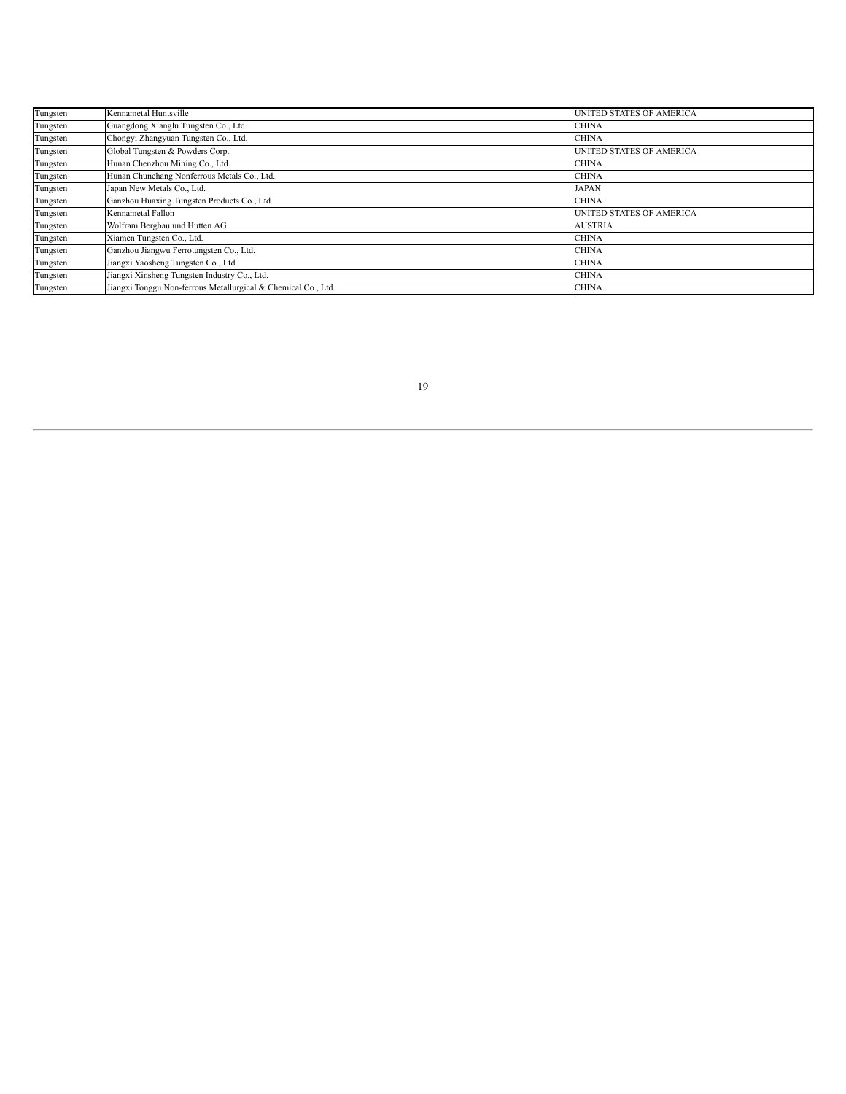| Tungsten | Kennametal Huntsville                                         | UNITED STATES OF AMERICA        |
|----------|---------------------------------------------------------------|---------------------------------|
| Tungsten | Guangdong Xianglu Tungsten Co., Ltd.                          | <b>CHINA</b>                    |
| Tungsten | Chongyi Zhangyuan Tungsten Co., Ltd.                          | <b>CHINA</b>                    |
| Tungsten | Global Tungsten & Powders Corp.                               | UNITED STATES OF AMERICA        |
| Tungsten | Hunan Chenzhou Mining Co., Ltd.                               | <b>CHINA</b>                    |
| Tungsten | Hunan Chunchang Nonferrous Metals Co., Ltd.                   | <b>CHINA</b>                    |
| Tungsten | Japan New Metals Co., Ltd.                                    | <b>JAPAN</b>                    |
| Tungsten | Ganzhou Huaxing Tungsten Products Co., Ltd.                   | <b>CHINA</b>                    |
| Tungsten | Kennametal Fallon                                             | <b>UNITED STATES OF AMERICA</b> |
| Tungsten | Wolfram Bergbau und Hutten AG                                 | <b>AUSTRIA</b>                  |
| Tungsten | Xiamen Tungsten Co., Ltd.                                     | <b>CHINA</b>                    |
| Tungsten | Ganzhou Jiangwu Ferrotungsten Co., Ltd.                       | <b>CHINA</b>                    |
| Tungsten | Jiangxi Yaosheng Tungsten Co., Ltd.                           | <b>CHINA</b>                    |
| Tungsten | Jiangxi Xinsheng Tungsten Industry Co., Ltd.                  | <b>CHINA</b>                    |
| Tungsten | Jiangxi Tonggu Non-ferrous Metallurgical & Chemical Co., Ltd. | <b>CHINA</b>                    |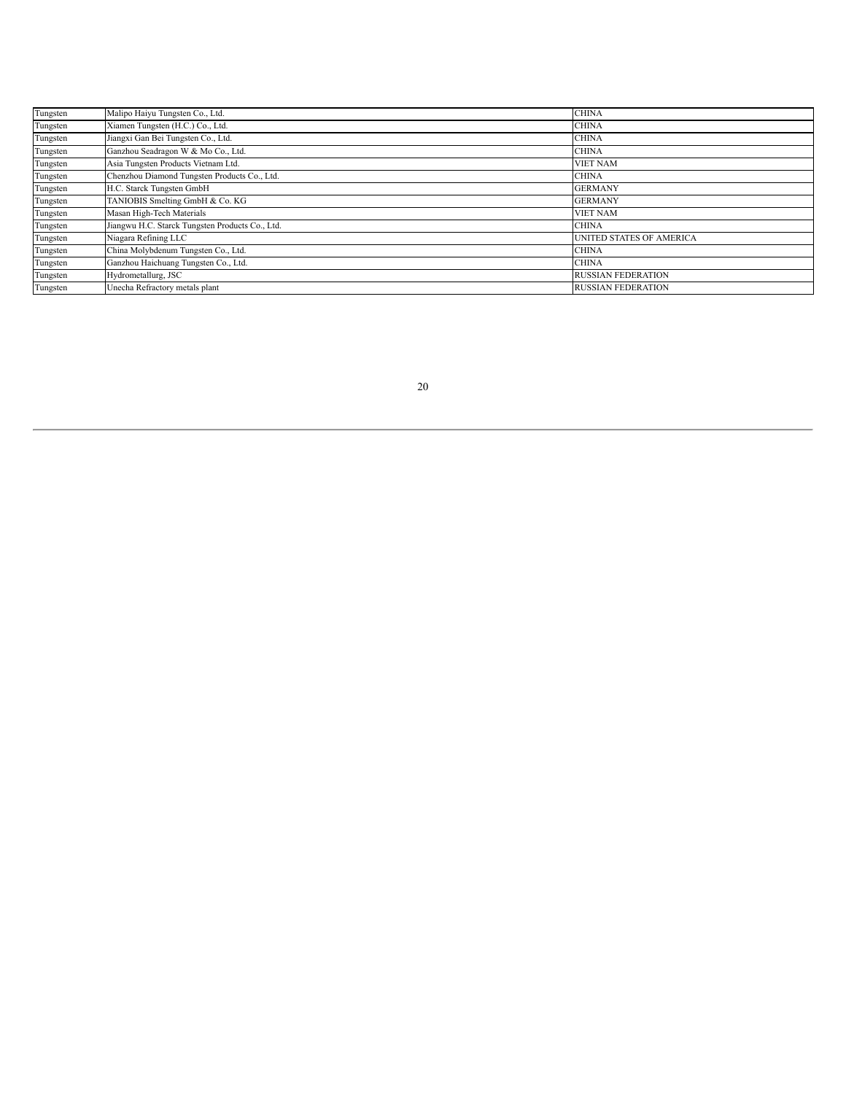| Tungsten | Malipo Haiyu Tungsten Co., Ltd.                 | <b>CHINA</b>                    |
|----------|-------------------------------------------------|---------------------------------|
| Tungsten | Xiamen Tungsten (H.C.) Co., Ltd.                | <b>CHINA</b>                    |
| Tungsten | Jiangxi Gan Bei Tungsten Co., Ltd.              | <b>CHINA</b>                    |
| Tungsten | Ganzhou Seadragon W & Mo Co., Ltd.              | <b>CHINA</b>                    |
| Tungsten | Asia Tungsten Products Vietnam Ltd.             | <b>VIET NAM</b>                 |
| Tungsten | Chenzhou Diamond Tungsten Products Co., Ltd.    | <b>CHINA</b>                    |
| Tungsten | H.C. Starck Tungsten GmbH                       | <b>GERMANY</b>                  |
| Tungsten | TANIOBIS Smelting GmbH & Co. KG                 | <b>GERMANY</b>                  |
| Tungsten | Masan High-Tech Materials                       | <b>VIET NAM</b>                 |
| Tungsten | Jiangwu H.C. Starck Tungsten Products Co., Ltd. | <b>CHINA</b>                    |
| Tungsten | Niagara Refining LLC                            | <b>UNITED STATES OF AMERICA</b> |
| Tungsten | China Molybdenum Tungsten Co., Ltd.             | <b>CHINA</b>                    |
| Tungsten | Ganzhou Haichuang Tungsten Co., Ltd.            | <b>CHINA</b>                    |
| Tungsten | Hydrometallurg, JSC                             | <b>RUSSIAN FEDERATION</b>       |
| Tungsten | Unecha Refractory metals plant                  | <b>RUSSIAN FEDERATION</b>       |